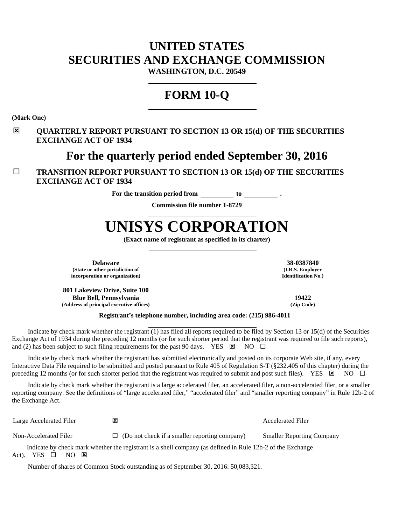# **UNITED STATES SECURITIES AND EXCHANGE COMMISSION**

**WASHINGTON, D.C. 20549**

## **FORM 10-Q**

**(Mark One)** Ĭ

#### **QUARTERLY REPORT PURSUANT TO SECTION 13 OR 15(d) OF THE SECURITIES EXCHANGE ACT OF 1934**

## **For the quarterly period ended September 30, 2016**

#### **TRANSITION REPORT PURSUANT TO SECTION 13 OR 15(d) OF THE SECURITIES EXCHANGE ACT OF 1934**

**For the transition period from to .**

**Commission file number 1-8729**

# **UNISYS CORPORATION**

**(Exact name of registrant as specified in its charter)**

**Delaware 38-0387840 (State or other jurisdiction of incorporation or organization)**

**801 Lakeview Drive, Suite 100 Blue Bell, Pennsylvania 19422 (Address of principal executive offices) (Zip Code)**

**(I.R.S. Employer Identification No.)**

#### **Registrant's telephone number, including area code: (215) 986-4011**

Indicate by check mark whether the registrant  $(1)$  has filed all reports required to be filed by Section 13 or 15(d) of the Securities Exchange Act of 1934 during the preceding 12 months (or for such shorter period that the registrant was required to file such reports), and (2) has been subject to such filing requirements for the past 90 days. YES  $\boxtimes$  NO  $\Box$ 

Indicate by check mark whether the registrant has submitted electronically and posted on its corporate Web site, if any, every Interactive Data File required to be submitted and posted pursuant to Rule 405 of Regulation S-T (§232.405 of this chapter) during the preceding 12 months (or for such shorter period that the registrant was required to submit and post such files). YES  $\boxtimes$  NO  $\Box$ 

Indicate by check mark whether the registrant is a large accelerated filer, an accelerated filer, a non-accelerated filer, or a smaller reporting company. See the definitions of "large accelerated filer," "accelerated filer" and "smaller reporting company" in Rule 12b-2 of the Exchange Act.

Large Accelerated Filer **EX Accelerated Filer Accelerated Filer Accelerated Filer** 

Non-Accelerated Filer  $\Box$  (Do not check if a smaller reporting company) Smaller Reporting Company

Indicate by check mark whether the registrant is a shell company (as defined in Rule 12b-2 of the Exchange Act). YES  $\square$  NO  $\square$ 

Number of shares of Common Stock outstanding as of September 30, 2016: 50,083,321.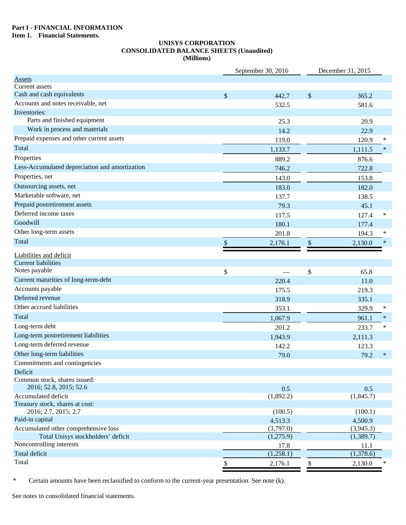#### **Part I - FINANCIAL INFORMATION**

**Item 1. Financial Statements.**

### **UNISYS CORPORATION CONSOLIDATED BALANCE SHEETS (Unaudited)**

|                                                                | (Millions) |                    |                           |                   |        |
|----------------------------------------------------------------|------------|--------------------|---------------------------|-------------------|--------|
|                                                                |            | September 30, 2016 |                           | December 31, 2015 |        |
| <b>Assets</b>                                                  |            |                    |                           |                   |        |
| Current assets                                                 |            |                    |                           |                   |        |
| Cash and cash equivalents                                      | $\$\,$     | 442.7              | $\boldsymbol{\mathsf{S}}$ | 365.2             |        |
| Accounts and notes receivable, net                             |            | 532.5              |                           | 581.6             |        |
| Inventories:                                                   |            |                    |                           |                   |        |
| Parts and finished equipment                                   |            | 25.3               |                           | 20.9              |        |
| Work in process and materials                                  |            | 14.2               |                           | 22.9              |        |
| Prepaid expenses and other current assets                      |            | 119.0              |                           | 120.9             | ∗      |
| Total                                                          |            | 1,133.7            |                           | 1,111.5           | $\ast$ |
| Properties                                                     |            | 889.2              |                           | 876.6             |        |
| Less-Accumulated depreciation and amortization                 |            | 746.2              |                           | 722.8             |        |
| Properties, net                                                |            | 143.0              |                           | 153.8             |        |
| Outsourcing assets, net                                        |            | 183.0              |                           | 182.0             |        |
| Marketable software, net                                       |            | 137.7              |                           | 138.5             |        |
| Prepaid postretirement assets                                  |            | 79.3               |                           | 45.1              |        |
| Deferred income taxes                                          |            | 117.5              |                           | 127.4             | $\ast$ |
| Goodwill                                                       |            | 180.1              |                           | 177.4             |        |
| Other long-term assets                                         |            | 201.8              |                           | 194.3             | $\ast$ |
| Total                                                          | \$         | 2,176.1            | \$                        | 2,130.0           | $\ast$ |
| Liabilities and deficit                                        |            |                    |                           |                   |        |
| <b>Current liabilities</b>                                     |            |                    |                           |                   |        |
| Notes payable                                                  | \$         |                    | \$                        | 65.8              |        |
| Current maturities of long-term-debt                           |            | 220.4              |                           | 11.0              |        |
| Accounts payable                                               |            | 175.5              |                           | 219.3             |        |
| Deferred revenue                                               |            | 318.9              |                           | 335.1             |        |
| Other accrued liabilities                                      |            | 353.1              |                           | 329.9             | $\ast$ |
| Total                                                          |            | 1,067.9            |                           | 961.1             | $\ast$ |
| Long-term debt                                                 |            | 201.2              |                           | 233.7             | $\ast$ |
| Long-term postretirement liabilities                           |            | 1,943.9            |                           | 2,111.3           |        |
| Long-term deferred revenue                                     |            | 142.2              |                           | 123.3             |        |
| Other long-term liabilities                                    |            |                    |                           |                   | $\ast$ |
| Commitments and contingencies                                  |            | 79.0               |                           | 79.2              |        |
| Deficit                                                        |            |                    |                           |                   |        |
| Common stock, shares issued:                                   |            |                    |                           |                   |        |
| 2016; 52.8, 2015; 52.6                                         |            | 0.5                |                           | 0.5               |        |
| Accumulated deficit                                            |            | (1,892.2)          |                           | (1,845.7)         |        |
| Treasury stock, shares at cost:                                |            |                    |                           |                   |        |
| 2016; 2.7, 2015; 2.7                                           |            | (100.5)            |                           | (100.1)           |        |
| Paid-in capital                                                |            | 4,513.3            |                           | 4,500.9           |        |
| Accumulated other comprehensive loss                           |            | (3,797.0)          |                           | (3,945.3)         |        |
| Total Unisys stockholders' deficit<br>Noncontrolling interests |            | (1,275.9)          |                           | (1,389.7)         |        |
|                                                                |            | 17.8               |                           | 11.1              |        |
| Total deficit<br>Total                                         |            | (1,258.1)          |                           | (1,378.6)         |        |
|                                                                | \$         | 2,176.1            | $\mathbb{S}$              | 2,130.0           | $\ast$ |

\* Certain amounts have been reclassified to conform to the current-year presentation. See note (k).

See notes to consolidated financial statements.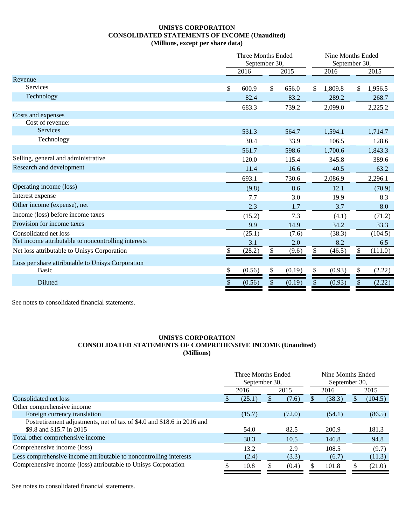#### **UNISYS CORPORATION CONSOLIDATED STATEMENTS OF INCOME (Unaudited)** (Millions, except per share data)

|                                                     | Three Months Ended<br>September 30, |    |        |    | Nine Months Ended<br>September 30, |     |         |
|-----------------------------------------------------|-------------------------------------|----|--------|----|------------------------------------|-----|---------|
|                                                     | 2016                                |    | 2015   |    | 2016                               |     | 2015    |
| Revenue                                             |                                     |    |        |    |                                    |     |         |
| <b>Services</b>                                     | \$<br>600.9                         | \$ | 656.0  | \$ | 1,809.8                            | \$. | 1,956.5 |
| Technology                                          | 82.4                                |    | 83.2   |    | 289.2                              |     | 268.7   |
|                                                     | 683.3                               |    | 739.2  |    | 2,099.0                            |     | 2,225.2 |
| Costs and expenses                                  |                                     |    |        |    |                                    |     |         |
| Cost of revenue:                                    |                                     |    |        |    |                                    |     |         |
| Services                                            | 531.3                               |    | 564.7  |    | 1,594.1                            |     | 1,714.7 |
| Technology                                          | 30.4                                |    | 33.9   |    | 106.5                              |     | 128.6   |
|                                                     | 561.7                               |    | 598.6  |    | 1,700.6                            |     | 1,843.3 |
| Selling, general and administrative                 | 120.0                               |    | 115.4  |    | 345.8                              |     | 389.6   |
| Research and development                            | 11.4                                |    | 16.6   |    | 40.5                               |     | 63.2    |
|                                                     | 693.1                               |    | 730.6  |    | 2,086.9                            |     | 2,296.1 |
| Operating income (loss)                             | (9.8)                               |    | 8.6    |    | 12.1                               |     | (70.9)  |
| Interest expense                                    | 7.7                                 |    | 3.0    |    | 19.9                               |     | 8.3     |
| Other income (expense), net                         | 2.3                                 |    | 1.7    |    | 3.7                                |     | 8.0     |
| Income (loss) before income taxes                   | (15.2)                              |    | 7.3    |    | (4.1)                              |     | (71.2)  |
| Provision for income taxes                          | 9.9                                 |    | 14.9   |    | 34.2                               |     | 33.3    |
| Consolidated net loss                               | (25.1)                              |    | (7.6)  |    | (38.3)                             |     | (104.5) |
| Net income attributable to noncontrolling interests | 3.1                                 |    | 2.0    |    | 8.2                                |     | 6.5     |
| Net loss attributable to Unisys Corporation         | \$<br>(28.2)                        | \$ | (9.6)  | \$ | (46.5)                             | \$  | (111.0) |
| Loss per share attributable to Unisys Corporation   |                                     |    |        |    |                                    |     |         |
| <b>Basic</b>                                        | \$<br>(0.56)                        | \$ | (0.19) | \$ | (0.93)                             | \$  | (2.22)  |
| Diluted                                             | \$<br>(0.56)                        |    | (0.19) | \$ | (0.93)                             | \$  | (2.22)  |
|                                                     |                                     |    |        |    |                                    |     |         |

See notes to consolidated financial statements.

#### **UNISYS CORPORATION CONSOLIDATED STATEMENTS OF COMPREHENSIVE INCOME (Unaudited) (Millions)**

|                                                                        | Three Months Ended<br>September 30. |        |      |        |      | Nine Months Ended<br>September 30, |         |  |  |
|------------------------------------------------------------------------|-------------------------------------|--------|------|--------|------|------------------------------------|---------|--|--|
|                                                                        |                                     | 2016   | 2015 |        | 2016 |                                    | 2015    |  |  |
| Consolidated net loss                                                  |                                     | (25.1) |      | (7.6)  |      | (38.3)                             | (104.5) |  |  |
| Other comprehensive income                                             |                                     |        |      |        |      |                                    |         |  |  |
| Foreign currency translation                                           |                                     | (15.7) |      | (72.0) |      | (54.1)                             | (86.5)  |  |  |
| Postretirement adjustments, net of tax of \$4.0 and \$18.6 in 2016 and |                                     |        |      |        |      |                                    |         |  |  |
| \$9.8 and \$15.7 in 2015                                               |                                     | 54.0   |      | 82.5   |      | 200.9                              | 181.3   |  |  |
| Total other comprehensive income                                       |                                     | 38.3   |      | 10.5   |      | 146.8                              | 94.8    |  |  |
| Comprehensive income (loss)                                            |                                     | 13.2   |      | 2.9    |      | 108.5                              | (9.7)   |  |  |
| Less comprehensive income attributable to noncontrolling interests     |                                     | (2.4)  |      | (3.3)  |      | (6.7)                              | (11.3)  |  |  |
| Comprehensive income (loss) attributable to Unisys Corporation         |                                     | 10.8   |      | (0.4)  |      | 101.8                              | (21.0)  |  |  |

See notes to consolidated financial statements.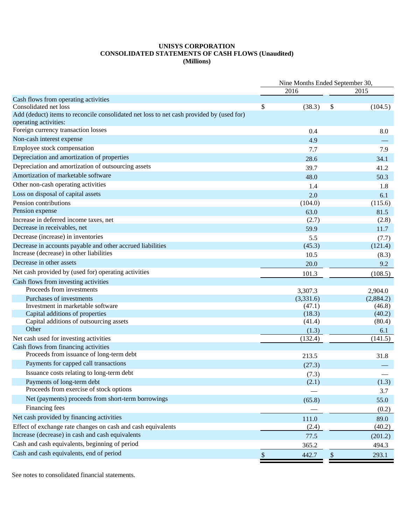#### **UNISYS CORPORATION CONSOLIDATED STATEMENTS OF CASH FLOWS (Unaudited) (Millions)**

| Nine Months Ended September 30,<br>2016<br>2015<br>Cash flows from operating activities<br>\$<br>Consolidated net loss<br>(38.3)<br>\$<br>(104.5)<br>Add (deduct) items to reconcile consolidated net loss to net cash provided by (used for)<br>operating activities:<br>Foreign currency transaction losses<br>0.4<br>8.0<br>Non-cash interest expense<br>4.9<br>Employee stock compensation<br>7.7<br>7.9<br>Depreciation and amortization of properties<br>28.6<br>34.1<br>Depreciation and amortization of outsourcing assets<br>39.7<br>41.2<br>Amortization of marketable software<br>48.0<br>50.3<br>Other non-cash operating activities<br>1.4<br>1.8<br>Loss on disposal of capital assets<br>2.0<br>6.1<br>Pension contributions<br>(104.0)<br>(115.6)<br>Pension expense<br>63.0<br>81.5<br>Increase in deferred income taxes, net<br>(2.8)<br>(2.7)<br>Decrease in receivables, net<br>59.9<br>11.7<br>Decrease (increase) in inventories<br>5.5<br>(7.7)<br>Decrease in accounts payable and other accrued liabilities<br>(45.3)<br>(121.4)<br>Increase (decrease) in other liabilities<br>10.5<br>(8.3)<br>Decrease in other assets<br>20.0<br>9.2<br>Net cash provided by (used for) operating activities<br>101.3<br>(108.5)<br>Cash flows from investing activities<br>Proceeds from investments<br>3,307.3<br>2,904.0<br>Purchases of investments<br>(3,331.6)<br>(2,884.2)<br>Investment in marketable software<br>(47.1)<br>(46.8)<br>Capital additions of properties<br>(18.3)<br>(40.2)<br>Capital additions of outsourcing assets<br>(80.4)<br>(41.4)<br>Other<br>6.1<br>(1.3)<br>Net cash used for investing activities<br>(132.4)<br>(141.5)<br>Cash flows from financing activities<br>Proceeds from issuance of long-term debt<br>213.5<br>31.8<br>Payments for capped call transactions<br>(27.3)<br>Issuance costs relating to long-term debt<br>(7.3)<br>Payments of long-term debt<br>(1.3)<br>(2.1)<br>Proceeds from exercise of stock options<br>3.7<br>Net (payments) proceeds from short-term borrowings<br>(65.8)<br>55.0<br>Financing fees<br>(0.2)<br>Net cash provided by financing activities<br>89.0<br>111.0<br>Effect of exchange rate changes on cash and cash equivalents<br>(40.2)<br>(2.4)<br>Increase (decrease) in cash and cash equivalents<br>77.5<br>(201.2)<br>Cash and cash equivalents, beginning of period<br>365.2<br>494.3 |                                          |             |             |
|---------------------------------------------------------------------------------------------------------------------------------------------------------------------------------------------------------------------------------------------------------------------------------------------------------------------------------------------------------------------------------------------------------------------------------------------------------------------------------------------------------------------------------------------------------------------------------------------------------------------------------------------------------------------------------------------------------------------------------------------------------------------------------------------------------------------------------------------------------------------------------------------------------------------------------------------------------------------------------------------------------------------------------------------------------------------------------------------------------------------------------------------------------------------------------------------------------------------------------------------------------------------------------------------------------------------------------------------------------------------------------------------------------------------------------------------------------------------------------------------------------------------------------------------------------------------------------------------------------------------------------------------------------------------------------------------------------------------------------------------------------------------------------------------------------------------------------------------------------------------------------------------------------------------------------------------------------------------------------------------------------------------------------------------------------------------------------------------------------------------------------------------------------------------------------------------------------------------------------------------------------------------------------------------------------------------------------------------------------------------------------------|------------------------------------------|-------------|-------------|
|                                                                                                                                                                                                                                                                                                                                                                                                                                                                                                                                                                                                                                                                                                                                                                                                                                                                                                                                                                                                                                                                                                                                                                                                                                                                                                                                                                                                                                                                                                                                                                                                                                                                                                                                                                                                                                                                                                                                                                                                                                                                                                                                                                                                                                                                                                                                                                                       |                                          |             |             |
|                                                                                                                                                                                                                                                                                                                                                                                                                                                                                                                                                                                                                                                                                                                                                                                                                                                                                                                                                                                                                                                                                                                                                                                                                                                                                                                                                                                                                                                                                                                                                                                                                                                                                                                                                                                                                                                                                                                                                                                                                                                                                                                                                                                                                                                                                                                                                                                       |                                          |             |             |
|                                                                                                                                                                                                                                                                                                                                                                                                                                                                                                                                                                                                                                                                                                                                                                                                                                                                                                                                                                                                                                                                                                                                                                                                                                                                                                                                                                                                                                                                                                                                                                                                                                                                                                                                                                                                                                                                                                                                                                                                                                                                                                                                                                                                                                                                                                                                                                                       |                                          |             |             |
|                                                                                                                                                                                                                                                                                                                                                                                                                                                                                                                                                                                                                                                                                                                                                                                                                                                                                                                                                                                                                                                                                                                                                                                                                                                                                                                                                                                                                                                                                                                                                                                                                                                                                                                                                                                                                                                                                                                                                                                                                                                                                                                                                                                                                                                                                                                                                                                       |                                          |             |             |
|                                                                                                                                                                                                                                                                                                                                                                                                                                                                                                                                                                                                                                                                                                                                                                                                                                                                                                                                                                                                                                                                                                                                                                                                                                                                                                                                                                                                                                                                                                                                                                                                                                                                                                                                                                                                                                                                                                                                                                                                                                                                                                                                                                                                                                                                                                                                                                                       |                                          |             |             |
|                                                                                                                                                                                                                                                                                                                                                                                                                                                                                                                                                                                                                                                                                                                                                                                                                                                                                                                                                                                                                                                                                                                                                                                                                                                                                                                                                                                                                                                                                                                                                                                                                                                                                                                                                                                                                                                                                                                                                                                                                                                                                                                                                                                                                                                                                                                                                                                       |                                          |             |             |
|                                                                                                                                                                                                                                                                                                                                                                                                                                                                                                                                                                                                                                                                                                                                                                                                                                                                                                                                                                                                                                                                                                                                                                                                                                                                                                                                                                                                                                                                                                                                                                                                                                                                                                                                                                                                                                                                                                                                                                                                                                                                                                                                                                                                                                                                                                                                                                                       |                                          |             |             |
|                                                                                                                                                                                                                                                                                                                                                                                                                                                                                                                                                                                                                                                                                                                                                                                                                                                                                                                                                                                                                                                                                                                                                                                                                                                                                                                                                                                                                                                                                                                                                                                                                                                                                                                                                                                                                                                                                                                                                                                                                                                                                                                                                                                                                                                                                                                                                                                       |                                          |             |             |
|                                                                                                                                                                                                                                                                                                                                                                                                                                                                                                                                                                                                                                                                                                                                                                                                                                                                                                                                                                                                                                                                                                                                                                                                                                                                                                                                                                                                                                                                                                                                                                                                                                                                                                                                                                                                                                                                                                                                                                                                                                                                                                                                                                                                                                                                                                                                                                                       |                                          |             |             |
|                                                                                                                                                                                                                                                                                                                                                                                                                                                                                                                                                                                                                                                                                                                                                                                                                                                                                                                                                                                                                                                                                                                                                                                                                                                                                                                                                                                                                                                                                                                                                                                                                                                                                                                                                                                                                                                                                                                                                                                                                                                                                                                                                                                                                                                                                                                                                                                       |                                          |             |             |
|                                                                                                                                                                                                                                                                                                                                                                                                                                                                                                                                                                                                                                                                                                                                                                                                                                                                                                                                                                                                                                                                                                                                                                                                                                                                                                                                                                                                                                                                                                                                                                                                                                                                                                                                                                                                                                                                                                                                                                                                                                                                                                                                                                                                                                                                                                                                                                                       |                                          |             |             |
|                                                                                                                                                                                                                                                                                                                                                                                                                                                                                                                                                                                                                                                                                                                                                                                                                                                                                                                                                                                                                                                                                                                                                                                                                                                                                                                                                                                                                                                                                                                                                                                                                                                                                                                                                                                                                                                                                                                                                                                                                                                                                                                                                                                                                                                                                                                                                                                       |                                          |             |             |
|                                                                                                                                                                                                                                                                                                                                                                                                                                                                                                                                                                                                                                                                                                                                                                                                                                                                                                                                                                                                                                                                                                                                                                                                                                                                                                                                                                                                                                                                                                                                                                                                                                                                                                                                                                                                                                                                                                                                                                                                                                                                                                                                                                                                                                                                                                                                                                                       |                                          |             |             |
|                                                                                                                                                                                                                                                                                                                                                                                                                                                                                                                                                                                                                                                                                                                                                                                                                                                                                                                                                                                                                                                                                                                                                                                                                                                                                                                                                                                                                                                                                                                                                                                                                                                                                                                                                                                                                                                                                                                                                                                                                                                                                                                                                                                                                                                                                                                                                                                       |                                          |             |             |
|                                                                                                                                                                                                                                                                                                                                                                                                                                                                                                                                                                                                                                                                                                                                                                                                                                                                                                                                                                                                                                                                                                                                                                                                                                                                                                                                                                                                                                                                                                                                                                                                                                                                                                                                                                                                                                                                                                                                                                                                                                                                                                                                                                                                                                                                                                                                                                                       |                                          |             |             |
|                                                                                                                                                                                                                                                                                                                                                                                                                                                                                                                                                                                                                                                                                                                                                                                                                                                                                                                                                                                                                                                                                                                                                                                                                                                                                                                                                                                                                                                                                                                                                                                                                                                                                                                                                                                                                                                                                                                                                                                                                                                                                                                                                                                                                                                                                                                                                                                       |                                          |             |             |
|                                                                                                                                                                                                                                                                                                                                                                                                                                                                                                                                                                                                                                                                                                                                                                                                                                                                                                                                                                                                                                                                                                                                                                                                                                                                                                                                                                                                                                                                                                                                                                                                                                                                                                                                                                                                                                                                                                                                                                                                                                                                                                                                                                                                                                                                                                                                                                                       |                                          |             |             |
|                                                                                                                                                                                                                                                                                                                                                                                                                                                                                                                                                                                                                                                                                                                                                                                                                                                                                                                                                                                                                                                                                                                                                                                                                                                                                                                                                                                                                                                                                                                                                                                                                                                                                                                                                                                                                                                                                                                                                                                                                                                                                                                                                                                                                                                                                                                                                                                       |                                          |             |             |
|                                                                                                                                                                                                                                                                                                                                                                                                                                                                                                                                                                                                                                                                                                                                                                                                                                                                                                                                                                                                                                                                                                                                                                                                                                                                                                                                                                                                                                                                                                                                                                                                                                                                                                                                                                                                                                                                                                                                                                                                                                                                                                                                                                                                                                                                                                                                                                                       |                                          |             |             |
|                                                                                                                                                                                                                                                                                                                                                                                                                                                                                                                                                                                                                                                                                                                                                                                                                                                                                                                                                                                                                                                                                                                                                                                                                                                                                                                                                                                                                                                                                                                                                                                                                                                                                                                                                                                                                                                                                                                                                                                                                                                                                                                                                                                                                                                                                                                                                                                       |                                          |             |             |
|                                                                                                                                                                                                                                                                                                                                                                                                                                                                                                                                                                                                                                                                                                                                                                                                                                                                                                                                                                                                                                                                                                                                                                                                                                                                                                                                                                                                                                                                                                                                                                                                                                                                                                                                                                                                                                                                                                                                                                                                                                                                                                                                                                                                                                                                                                                                                                                       |                                          |             |             |
|                                                                                                                                                                                                                                                                                                                                                                                                                                                                                                                                                                                                                                                                                                                                                                                                                                                                                                                                                                                                                                                                                                                                                                                                                                                                                                                                                                                                                                                                                                                                                                                                                                                                                                                                                                                                                                                                                                                                                                                                                                                                                                                                                                                                                                                                                                                                                                                       |                                          |             |             |
|                                                                                                                                                                                                                                                                                                                                                                                                                                                                                                                                                                                                                                                                                                                                                                                                                                                                                                                                                                                                                                                                                                                                                                                                                                                                                                                                                                                                                                                                                                                                                                                                                                                                                                                                                                                                                                                                                                                                                                                                                                                                                                                                                                                                                                                                                                                                                                                       |                                          |             |             |
|                                                                                                                                                                                                                                                                                                                                                                                                                                                                                                                                                                                                                                                                                                                                                                                                                                                                                                                                                                                                                                                                                                                                                                                                                                                                                                                                                                                                                                                                                                                                                                                                                                                                                                                                                                                                                                                                                                                                                                                                                                                                                                                                                                                                                                                                                                                                                                                       |                                          |             |             |
|                                                                                                                                                                                                                                                                                                                                                                                                                                                                                                                                                                                                                                                                                                                                                                                                                                                                                                                                                                                                                                                                                                                                                                                                                                                                                                                                                                                                                                                                                                                                                                                                                                                                                                                                                                                                                                                                                                                                                                                                                                                                                                                                                                                                                                                                                                                                                                                       |                                          |             |             |
|                                                                                                                                                                                                                                                                                                                                                                                                                                                                                                                                                                                                                                                                                                                                                                                                                                                                                                                                                                                                                                                                                                                                                                                                                                                                                                                                                                                                                                                                                                                                                                                                                                                                                                                                                                                                                                                                                                                                                                                                                                                                                                                                                                                                                                                                                                                                                                                       |                                          |             |             |
|                                                                                                                                                                                                                                                                                                                                                                                                                                                                                                                                                                                                                                                                                                                                                                                                                                                                                                                                                                                                                                                                                                                                                                                                                                                                                                                                                                                                                                                                                                                                                                                                                                                                                                                                                                                                                                                                                                                                                                                                                                                                                                                                                                                                                                                                                                                                                                                       |                                          |             |             |
|                                                                                                                                                                                                                                                                                                                                                                                                                                                                                                                                                                                                                                                                                                                                                                                                                                                                                                                                                                                                                                                                                                                                                                                                                                                                                                                                                                                                                                                                                                                                                                                                                                                                                                                                                                                                                                                                                                                                                                                                                                                                                                                                                                                                                                                                                                                                                                                       |                                          |             |             |
|                                                                                                                                                                                                                                                                                                                                                                                                                                                                                                                                                                                                                                                                                                                                                                                                                                                                                                                                                                                                                                                                                                                                                                                                                                                                                                                                                                                                                                                                                                                                                                                                                                                                                                                                                                                                                                                                                                                                                                                                                                                                                                                                                                                                                                                                                                                                                                                       |                                          |             |             |
|                                                                                                                                                                                                                                                                                                                                                                                                                                                                                                                                                                                                                                                                                                                                                                                                                                                                                                                                                                                                                                                                                                                                                                                                                                                                                                                                                                                                                                                                                                                                                                                                                                                                                                                                                                                                                                                                                                                                                                                                                                                                                                                                                                                                                                                                                                                                                                                       |                                          |             |             |
|                                                                                                                                                                                                                                                                                                                                                                                                                                                                                                                                                                                                                                                                                                                                                                                                                                                                                                                                                                                                                                                                                                                                                                                                                                                                                                                                                                                                                                                                                                                                                                                                                                                                                                                                                                                                                                                                                                                                                                                                                                                                                                                                                                                                                                                                                                                                                                                       |                                          |             |             |
|                                                                                                                                                                                                                                                                                                                                                                                                                                                                                                                                                                                                                                                                                                                                                                                                                                                                                                                                                                                                                                                                                                                                                                                                                                                                                                                                                                                                                                                                                                                                                                                                                                                                                                                                                                                                                                                                                                                                                                                                                                                                                                                                                                                                                                                                                                                                                                                       |                                          |             |             |
|                                                                                                                                                                                                                                                                                                                                                                                                                                                                                                                                                                                                                                                                                                                                                                                                                                                                                                                                                                                                                                                                                                                                                                                                                                                                                                                                                                                                                                                                                                                                                                                                                                                                                                                                                                                                                                                                                                                                                                                                                                                                                                                                                                                                                                                                                                                                                                                       |                                          |             |             |
|                                                                                                                                                                                                                                                                                                                                                                                                                                                                                                                                                                                                                                                                                                                                                                                                                                                                                                                                                                                                                                                                                                                                                                                                                                                                                                                                                                                                                                                                                                                                                                                                                                                                                                                                                                                                                                                                                                                                                                                                                                                                                                                                                                                                                                                                                                                                                                                       |                                          |             |             |
|                                                                                                                                                                                                                                                                                                                                                                                                                                                                                                                                                                                                                                                                                                                                                                                                                                                                                                                                                                                                                                                                                                                                                                                                                                                                                                                                                                                                                                                                                                                                                                                                                                                                                                                                                                                                                                                                                                                                                                                                                                                                                                                                                                                                                                                                                                                                                                                       |                                          |             |             |
|                                                                                                                                                                                                                                                                                                                                                                                                                                                                                                                                                                                                                                                                                                                                                                                                                                                                                                                                                                                                                                                                                                                                                                                                                                                                                                                                                                                                                                                                                                                                                                                                                                                                                                                                                                                                                                                                                                                                                                                                                                                                                                                                                                                                                                                                                                                                                                                       |                                          |             |             |
|                                                                                                                                                                                                                                                                                                                                                                                                                                                                                                                                                                                                                                                                                                                                                                                                                                                                                                                                                                                                                                                                                                                                                                                                                                                                                                                                                                                                                                                                                                                                                                                                                                                                                                                                                                                                                                                                                                                                                                                                                                                                                                                                                                                                                                                                                                                                                                                       |                                          |             |             |
|                                                                                                                                                                                                                                                                                                                                                                                                                                                                                                                                                                                                                                                                                                                                                                                                                                                                                                                                                                                                                                                                                                                                                                                                                                                                                                                                                                                                                                                                                                                                                                                                                                                                                                                                                                                                                                                                                                                                                                                                                                                                                                                                                                                                                                                                                                                                                                                       |                                          |             |             |
|                                                                                                                                                                                                                                                                                                                                                                                                                                                                                                                                                                                                                                                                                                                                                                                                                                                                                                                                                                                                                                                                                                                                                                                                                                                                                                                                                                                                                                                                                                                                                                                                                                                                                                                                                                                                                                                                                                                                                                                                                                                                                                                                                                                                                                                                                                                                                                                       |                                          |             |             |
|                                                                                                                                                                                                                                                                                                                                                                                                                                                                                                                                                                                                                                                                                                                                                                                                                                                                                                                                                                                                                                                                                                                                                                                                                                                                                                                                                                                                                                                                                                                                                                                                                                                                                                                                                                                                                                                                                                                                                                                                                                                                                                                                                                                                                                                                                                                                                                                       |                                          |             |             |
|                                                                                                                                                                                                                                                                                                                                                                                                                                                                                                                                                                                                                                                                                                                                                                                                                                                                                                                                                                                                                                                                                                                                                                                                                                                                                                                                                                                                                                                                                                                                                                                                                                                                                                                                                                                                                                                                                                                                                                                                                                                                                                                                                                                                                                                                                                                                                                                       |                                          |             |             |
|                                                                                                                                                                                                                                                                                                                                                                                                                                                                                                                                                                                                                                                                                                                                                                                                                                                                                                                                                                                                                                                                                                                                                                                                                                                                                                                                                                                                                                                                                                                                                                                                                                                                                                                                                                                                                                                                                                                                                                                                                                                                                                                                                                                                                                                                                                                                                                                       |                                          |             |             |
|                                                                                                                                                                                                                                                                                                                                                                                                                                                                                                                                                                                                                                                                                                                                                                                                                                                                                                                                                                                                                                                                                                                                                                                                                                                                                                                                                                                                                                                                                                                                                                                                                                                                                                                                                                                                                                                                                                                                                                                                                                                                                                                                                                                                                                                                                                                                                                                       | Cash and cash equivalents, end of period | \$<br>442.7 | \$<br>293.1 |

See notes to consolidated financial statements.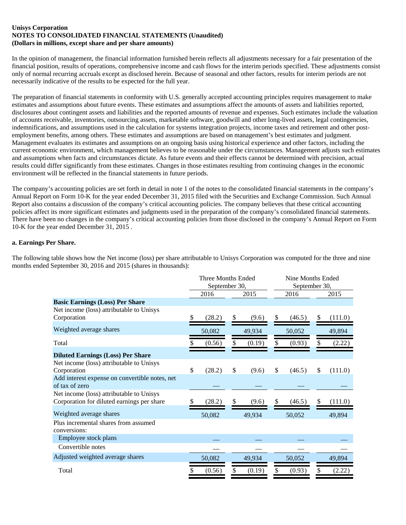#### **Unisys Corporation NOTES TO CONSOLIDATED FINANCIAL STATEMENTS (Unaudited) (Dollars in millions, except share and per share amounts)**

In the opinion of management, the financial information furnished herein reflects all adjustments necessary for a fair presentation of the financial position, results of operations, comprehensive income and cash flows for the interim periods specified. These adjustments consist only of normal recurring accruals except as disclosed herein. Because of seasonal and other factors, results for interim periods are not necessarily indicative of the results to be expected for the full year.

The preparation of financial statements in conformity with U.S. generally accepted accounting principles requires management to make estimates and assumptions about future events. These estimates and assumptions affect the amounts of assets and liabilities reported, disclosures about contingent assets and liabilities and the reported amounts of revenue and expenses. Such estimates include the valuation of accounts receivable, inventories, outsourcing assets, marketable software, goodwill and other long-lived assets, legal contingencies, indemnifications, and assumptions used in the calculation for systems integration projects, income taxes and retirement and other postemployment benefits, among others. These estimates and assumptions are based on management's best estimates and judgment. Management evaluates its estimates and assumptions on an ongoing basis using historical experience and other factors, including the current economic environment, which management believes to be reasonable under the circumstances. Management adjusts such estimates and assumptions when facts and circumstances dictate. As future events and their effects cannot be determined with precision, actual results could differ significantly from these estimates. Changes in those estimates resulting from continuing changes in the economic environment will be reflected in the financial statements in future periods.

The company's accounting policies are set forth in detail in note 1 of the notes to the consolidated financial statements in the company's Annual Report on Form 10-K for the year ended December 31, 2015 filed with the Securities and Exchange Commission. Such Annual Report also contains a discussion of the company's critical accounting policies. The company believes that these critical accounting policies affect its more significant estimates and judgments used in the preparation of the company's consolidated financial statements. There have been no changes in the company's critical accounting policies from those disclosed in the company's Annual Report on Form 10-K for the year ended December 31, 2015 .

#### **a. Earnings Per Share.**

The following table shows how the Net income (loss) per share attributable to Unisys Corporation was computed for the three and nine months ended September 30, 2016 and 2015 (shares in thousands):

|                                                                                                     |     | Three Months Ended<br>September 30, |    |        |    |        | Nine Months Ended<br>September 30, |         |  |
|-----------------------------------------------------------------------------------------------------|-----|-------------------------------------|----|--------|----|--------|------------------------------------|---------|--|
|                                                                                                     |     | 2016                                |    | 2015   |    | 2016   |                                    | 2015    |  |
| <b>Basic Earnings (Loss) Per Share</b>                                                              |     |                                     |    |        |    |        |                                    |         |  |
| Net income (loss) attributable to Unisys<br>Corporation                                             |     | (28.2)                              | S  | (9.6)  | \$ | (46.5) | \$                                 | (111.0) |  |
| Weighted average shares                                                                             |     | 50,082                              |    | 49,934 |    | 50,052 |                                    | 49,894  |  |
| Total                                                                                               |     | (0.56)                              |    | (0.19) | \$ | (0.93) | \$                                 | (2.22)  |  |
| <b>Diluted Earnings (Loss) Per Share</b><br>Net income (loss) attributable to Unisys<br>Corporation | \$  | (28.2)                              | \$ | (9.6)  | \$ | (46.5) | \$                                 | (111.0) |  |
| Add interest expense on convertible notes, net<br>of tax of zero                                    |     |                                     |    |        |    |        |                                    |         |  |
| Net income (loss) attributable to Unisys<br>Corporation for diluted earnings per share              | \$. | (28.2)                              | S  | (9.6)  | \$ | (46.5) | \$                                 | (111.0) |  |
| Weighted average shares                                                                             |     | 50,082                              |    | 49,934 |    | 50,052 |                                    | 49,894  |  |
| Plus incremental shares from assumed<br>conversions:                                                |     |                                     |    |        |    |        |                                    |         |  |
| Employee stock plans                                                                                |     |                                     |    |        |    |        |                                    |         |  |
| Convertible notes                                                                                   |     |                                     |    |        |    |        |                                    |         |  |
| Adjusted weighted average shares                                                                    |     | 50,082                              |    | 49,934 |    | 50,052 |                                    | 49,894  |  |
| Total                                                                                               |     | (0.56)                              |    | (0.19) | S  | (0.93) | S                                  | (2.22)  |  |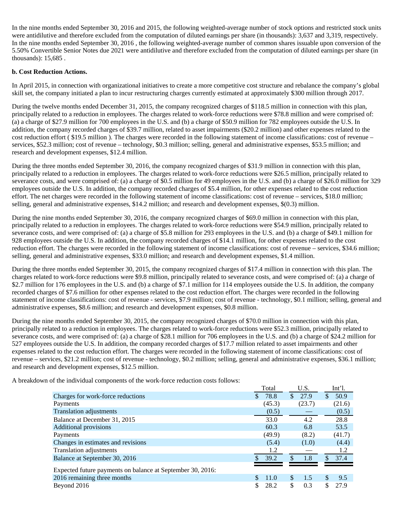In the nine months ended September 30, 2016 and 2015, the following weighted-average number of stock options and restricted stock units were antidilutive and therefore excluded from the computation of diluted earnings per share (in thousands): 3,637 and 3,319, respectively. In the nine months ended September 30, 2016 , the following weighted-average number of common shares issuable upon conversion of the 5.50% Convertible Senior Notes due 2021 were antidilutive and therefore excluded from the computation of diluted earnings per share (in thousands): 15,685 .

#### **b. Cost Reduction Actions.**

In April 2015, in connection with organizational initiatives to create a more competitive cost structure and rebalance the company's global skill set, the company initiated a plan to incur restructuring charges currently estimated at approximately \$300 million through 2017.

During the twelve months ended December 31, 2015, the company recognized charges of \$118.5 million in connection with this plan, principally related to a reduction in employees. The charges related to work-force reductions were \$78.8 million and were comprised of: (a) a charge of \$27.9 million for 700 employees in the U.S. and (b) a charge of \$50.9 million for 782 employees outside the U.S. In addition, the company recorded charges of \$39.7 million, related to asset impairments (\$20.2 million) and other expenses related to the cost reduction effort ( \$19.5 million ). The charges were recorded in the following statement of income classifications: cost of revenue – services, \$52.3 million; cost of revenue – technology, \$0.3 million; selling, general and administrative expenses, \$53.5 million; and research and development expenses, \$12.4 million.

During the three months ended September 30, 2016, the company recognized charges of \$31.9 million in connection with this plan, principally related to a reduction in employees. The charges related to work-force reductions were \$26.5 million, principally related to severance costs, and were comprised of: (a) a charge of \$0.5 million for 49 employees in the U.S. and (b) a charge of \$26.0 million for 329 employees outside the U.S. In addition, the company recorded charges of \$5.4 million, for other expenses related to the cost reduction effort. The net charges were recorded in the following statement of income classifications: cost of revenue – services, \$18.0 million; selling, general and administrative expenses, \$14.2 million; and research and development expenses, \$(0.3) million.

During the nine months ended September 30, 2016, the company recognized charges of \$69.0 million in connection with this plan, principally related to a reduction in employees. The charges related to work-force reductions were \$54.9 million, principally related to severance costs, and were comprised of: (a) a charge of \$5.8 million for 293 employees in the U.S. and (b) a charge of \$49.1 million for 928 employees outside the U.S. In addition, the company recorded charges of \$14.1 million, for other expenses related to the cost reduction effort. The charges were recorded in the following statement of income classifications: cost of revenue – services, \$34.6 million; selling, general and administrative expenses, \$33.0 million; and research and development expenses, \$1.4 million.

During the three months ended September 30, 2015, the company recognized charges of \$17.4 million in connection with this plan. The charges related to work-force reductions were \$9.8 million, principally related to severance costs, and were comprised of: (a) a charge of \$2.7 million for 176 employees in the U.S. and (b) a charge of \$7.1 million for 114 employees outside the U.S. In addition, the company recorded charges of \$7.6 million for other expenses related to the cost reduction effort. The charges were recorded in the following statement of income classifications: cost of revenue - services, \$7.9 million; cost of revenue - technology, \$0.1 million; selling, general and administrative expenses, \$8.6 million; and research and development expenses, \$0.8 million.

During the nine months ended September 30, 2015, the company recognized charges of \$70.0 million in connection with this plan, principally related to a reduction in employees. The charges related to work-force reductions were \$52.3 million, principally related to severance costs, and were comprised of: (a) a charge of \$28.1 million for 706 employees in the U.S. and (b) a charge of \$24.2 million for 527 employees outside the U.S. In addition, the company recorded charges of \$17.7 million related to asset impairments and other expenses related to the cost reduction effort. The charges were recorded in the following statement of income classifications: cost of revenue – services, \$21.2 million; cost of revenue - technology, \$0.2 million; selling, general and administrative expenses, \$36.1 million; and research and development expenses, \$12.5 million.

A breakdown of the individual components of the work-force reduction costs follows:

|                                                            |     | Total  | U.S.       |     | $Int1$ . |
|------------------------------------------------------------|-----|--------|------------|-----|----------|
| Charges for work-force reductions                          | \$. | 78.8   | \$<br>27.9 | \$. | 50.9     |
| Payments                                                   |     | (45.3) | (23.7)     |     | (21.6)   |
| <b>Translation adjustments</b>                             |     | (0.5)  |            |     | (0.5)    |
| Balance at December 31, 2015                               |     | 33.0   | 4.2        |     | 28.8     |
| <b>Additional provisions</b>                               |     | 60.3   | 6.8        |     | 53.5     |
| Payments                                                   |     | (49.9) | (8.2)      |     | (41.7)   |
| Changes in estimates and revisions                         |     | (5.4)  | (1.0)      |     | (4.4)    |
| Translation adjustments                                    |     | 1.2    |            |     | 1.2      |
| Balance at September 30, 2016                              |     | 39.2   | \$<br>1.8  | \$  | 37.4     |
| Expected future payments on balance at September 30, 2016: |     |        |            |     |          |
| 2016 remaining three months                                |     | 11.0   | \$<br>1.5  | \$  | 9.5      |
| Beyond 2016                                                |     | 28.2   | \$<br>0.3  | \$  | 27.9     |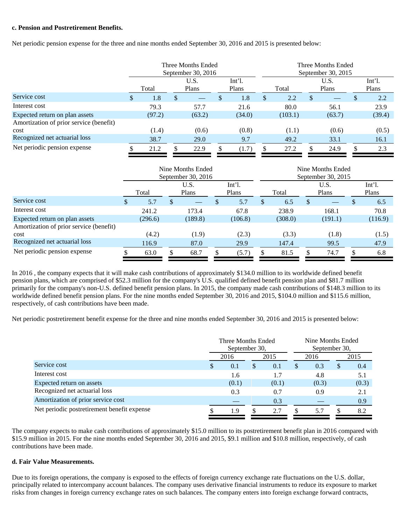#### **c. Pension and Postretirement Benefits.**

Net periodic pension expense for the three and nine months ended September 30, 2016 and 2015 is presented below:

|                                         | Three Months Ended<br>September 30, $2016$ |        |    |               |  |                   | Three Months Ended<br>September 30, 2015 |         |               |               |  |                   |  |
|-----------------------------------------|--------------------------------------------|--------|----|---------------|--|-------------------|------------------------------------------|---------|---------------|---------------|--|-------------------|--|
|                                         |                                            | Total  |    | U.S.<br>Plans |  | $Int1$ .<br>Plans |                                          | Total   |               | U.S.<br>Plans |  | $Int1$ .<br>Plans |  |
| Service cost                            | \$                                         | 1.8    | \$ |               |  | 1.8               | \$.                                      | 2.2     | <sup>\$</sup> |               |  | 2.2               |  |
| Interest cost                           |                                            | 79.3   |    | 57.7          |  | 21.6              |                                          | 80.0    |               | 56.1          |  | 23.9              |  |
| Expected return on plan assets          |                                            | (97.2) |    | (63.2)        |  | (34.0)            |                                          | (103.1) |               | (63.7)        |  | (39.4)            |  |
| Amortization of prior service (benefit) |                                            |        |    |               |  |                   |                                          |         |               |               |  |                   |  |
| cost                                    |                                            | (1.4)  |    | (0.6)         |  | (0.8)             |                                          | (1.1)   |               | (0.6)         |  | (0.5)             |  |
| Recognized net actuarial loss           |                                            | 38.7   |    | 29.0          |  | 9.7               |                                          | 49.2    |               | 33.1          |  | 16.1              |  |
| Net periodic pension expense            |                                            | 21.2   |    | 22.9          |  | (1.7)             |                                          | 27.2    |               | 24.9          |  | 2.3               |  |

|                                         | Nine Months Ended<br>September 30, 2016 |         |   |               |  |                 | Nine Months Ended<br>September 30, 2015 |         |               |               |  |                   |  |  |
|-----------------------------------------|-----------------------------------------|---------|---|---------------|--|-----------------|-----------------------------------------|---------|---------------|---------------|--|-------------------|--|--|
|                                         |                                         | Total   |   | U.S.<br>Plans |  | Int'l.<br>Plans |                                         | Total   |               | U.S.<br>Plans |  | $Int1$ .<br>Plans |  |  |
| Service cost                            | S                                       | 5.7     | S |               |  | 5.7             | ъb                                      | 6.5     | <sup>\$</sup> |               |  | 6.5               |  |  |
| Interest cost                           |                                         | 241.2   |   | 173.4         |  | 67.8            |                                         | 238.9   |               | 168.1         |  | 70.8              |  |  |
| Expected return on plan assets          |                                         | (296.6) |   | (189.8)       |  | (106.8)         |                                         | (308.0) |               | (191.1)       |  | (116.9)           |  |  |
| Amortization of prior service (benefit) |                                         |         |   |               |  |                 |                                         |         |               |               |  |                   |  |  |
| cost                                    |                                         | (4.2)   |   | (1.9)         |  | (2.3)           |                                         | (3.3)   |               | (1.8)         |  | (1.5)             |  |  |
| Recognized net actuarial loss           |                                         | 116.9   |   | 87.0          |  | 29.9            |                                         | 147.4   |               | 99.5          |  | 47.9              |  |  |
| Net periodic pension expense            |                                         | 63.0    |   | 68.7          |  | (5.7)           |                                         | 81.5    | S             | 74.7          |  | 6.8               |  |  |

In 2016 , the company expects that it will make cash contributions of approximately \$134.0 million to its worldwide defined benefit pension plans, which are comprised of \$52.3 million for the company's U.S. qualified defined benefit pension plan and \$81.7 million primarily for the company's non-U.S. defined benefit pension plans. In 2015, the company made cash contributions of \$148.3 million to its worldwide defined benefit pension plans. For the nine months ended September 30, 2016 and 2015, \$104.0 million and \$115.6 million, respectively, of cash contributions have been made.

Net periodic postretirement benefit expense for the three and nine months ended September 30, 2016 and 2015 is presented below:

|                                             |   | Three Months Ended<br>September 30, |    |       | Nine Months Ended<br>September 30, |       |   |       |  |
|---------------------------------------------|---|-------------------------------------|----|-------|------------------------------------|-------|---|-------|--|
|                                             |   | 2016<br>2015                        |    |       |                                    | 2016  |   | 2015  |  |
| Service cost                                | S | 0.1                                 | \$ | 0.1   | \$                                 | 0.3   | S | 0.4   |  |
| Interest cost                               |   | 1.6                                 |    | 1.7   |                                    | 4.8   |   | 5.1   |  |
| Expected return on assets                   |   | (0.1)                               |    | (0.1) |                                    | (0.3) |   | (0.3) |  |
| Recognized net actuarial loss               |   | 0.3                                 |    | 0.7   |                                    | 0.9   |   | 2.1   |  |
| Amortization of prior service cost          |   |                                     |    | 0.3   |                                    |       |   | 0.9   |  |
| Net periodic postretirement benefit expense |   | 1.9                                 |    | 2.7   |                                    | 5.7   |   | 8.2   |  |

The company expects to make cash contributions of approximately \$15.0 million to its postretirement benefit plan in 2016 compared with \$15.9 million in 2015. For the nine months ended September 30, 2016 and 2015, \$9.1 million and \$10.8 million, respectively, of cash contributions have been made.

#### **d. Fair Value Measurements.**

Due to its foreign operations, the company is exposed to the effects of foreign currency exchange rate fluctuations on the U.S. dollar, principally related to intercompany account balances. The company uses derivative financial instruments to reduce its exposure to market risks from changes in foreign currency exchange rates on such balances. The company enters into foreign exchange forward contracts,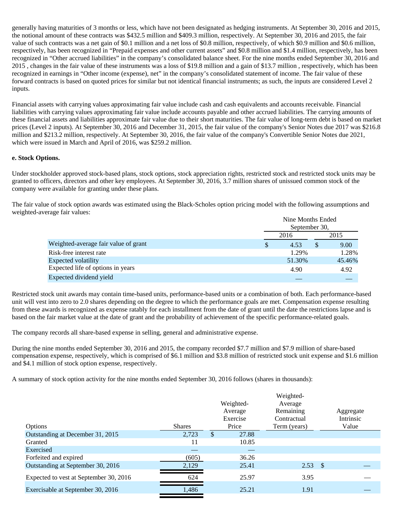generally having maturities of 3 months or less, which have not been designated as hedging instruments. At September 30, 2016 and 2015, the notional amount of these contracts was \$432.5 million and \$409.3 million, respectively. At September 30, 2016 and 2015, the fair value of such contracts was a net gain of \$0.1 million and a net loss of \$0.8 million, respectively, of which \$0.9 million and \$0.6 million, respectively, has been recognized in "Prepaid expenses and other current assets" and \$0.8 million and \$1.4 million, respectively, has been recognized in "Other accrued liabilities" in the company's consolidated balance sheet. For the nine months ended September 30, 2016 and 2015 , changes in the fair value of these instruments was a loss of \$19.8 million and a gain of \$13.7 million , respectively, which has been recognized in earnings in "Other income (expense), net" in the company's consolidated statement of income. The fair value of these forward contracts is based on quoted prices for similar but not identical financial instruments; as such, the inputs are considered Level 2 inputs.

Financial assets with carrying values approximating fair value include cash and cash equivalents and accounts receivable. Financial liabilities with carrying values approximating fair value include accounts payable and other accrued liabilities. The carrying amounts of these financial assets and liabilities approximate fair value due to their short maturities. The fair value of long-term debt is based on market prices (Level 2 inputs). At September 30, 2016 and December 31, 2015, the fair value of the company's Senior Notes due 2017 was \$216.8 million and \$213.2 million, respectively. At September 30, 2016, the fair value of the company's Convertible Senior Notes due 2021, which were issued in March and April of 2016, was \$259.2 million.

#### **e. Stock Options.**

Under stockholder approved stock-based plans, stock options, stock appreciation rights, restricted stock and restricted stock units may be granted to officers, directors and other key employees. At September 30, 2016, 3.7 million shares of unissued common stock of the company were available for granting under these plans.

The fair value of stock option awards was estimated using the Black-Scholes option pricing model with the following assumptions and weighted-average fair values:

|                                      | Nine Months Ended             |        |  |        |  |  |  |  |
|--------------------------------------|-------------------------------|--------|--|--------|--|--|--|--|
|                                      | September 30,<br>2016<br>2015 |        |  |        |  |  |  |  |
| Weighted-average fair value of grant | <sup>\$</sup>                 | 4.53   |  | 9.00   |  |  |  |  |
| Risk-free interest rate              |                               | 1.29%  |  | 1.28%  |  |  |  |  |
| Expected volatility                  |                               | 51.30% |  | 45.46% |  |  |  |  |
| Expected life of options in years    |                               | 4.90   |  | 4.92   |  |  |  |  |
| Expected dividend yield              |                               |        |  |        |  |  |  |  |

Restricted stock unit awards may contain time-based units, performance-based units or a combination of both. Each performance-based unit will vest into zero to 2.0 shares depending on the degree to which the performance goals are met. Compensation expense resulting from these awards is recognized as expense ratably for each installment from the date of grant until the date the restrictions lapse and is based on the fair market value at the date of grant and the probability of achievement of the specific performance-related goals.

The company records all share-based expense in selling, general and administrative expense.

During the nine months ended September 30, 2016 and 2015, the company recorded \$7.7 million and \$7.9 million of share-based compensation expense, respectively, which is comprised of \$6.1 million and \$3.8 million of restricted stock unit expense and \$1.6 million and \$4.1 million of stock option expense, respectively.

A summary of stock option activity for the nine months ended September 30, 2016 follows (shares in thousands):

|                                        |               | Weighted-<br>Average<br>Exercise | Weighted-<br>Average<br>Remaining<br>Contractual |      | Aggregate<br>Intrinsic |
|----------------------------------------|---------------|----------------------------------|--------------------------------------------------|------|------------------------|
| Options                                | <b>Shares</b> | Price                            | Term (years)                                     |      | Value                  |
| Outstanding at December 31, 2015       | 2,723         | 27.88                            |                                                  |      |                        |
| Granted                                | 11            | 10.85                            |                                                  |      |                        |
| Exercised                              | _             |                                  |                                                  |      |                        |
| Forfeited and expired                  | (605)         | 36.26                            |                                                  |      |                        |
| Outstanding at September 30, 2016      | 2,129         | 25.41                            | 2.53                                             | - \$ |                        |
| Expected to vest at September 30, 2016 | 624           | 25.97                            | 3.95                                             |      |                        |
| Exercisable at September 30, 2016      | 1,486         | 25.21                            | 1.91                                             |      |                        |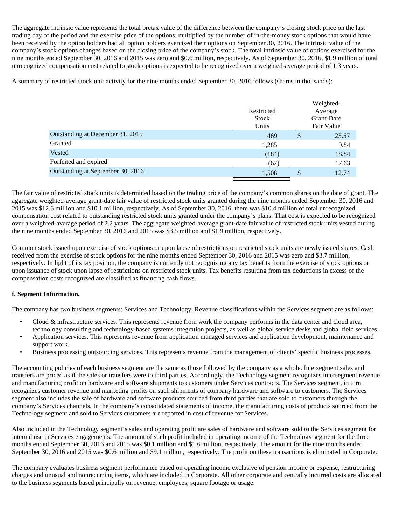The aggregate intrinsic value represents the total pretax value of the difference between the company's closing stock price on the last trading day of the period and the exercise price of the options, multiplied by the number of in-the-money stock options that would have been received by the option holders had all option holders exercised their options on September 30, 2016. The intrinsic value of the company's stock options changes based on the closing price of the company's stock. The total intrinsic value of options exercised for the nine months ended September 30, 2016 and 2015 was zero and \$0.6 million, respectively. As of September 30, 2016, \$1.9 million of total unrecognized compensation cost related to stock options is expected to be recognized over a weighted-average period of 1.3 years.

A summary of restricted stock unit activity for the nine months ended September 30, 2016 follows (shares in thousands):

| Restricted<br><b>Stock</b><br>Units | Weighted-<br>Average<br>Grant-Date<br>Fair Value |
|-------------------------------------|--------------------------------------------------|
| 469                                 | \$<br>23.57                                      |
| 1,285                               | 9.84                                             |
| (184)                               | 18.84                                            |
| (62)                                | 17.63                                            |
| 1,508                               | \$<br>12.74                                      |
|                                     |                                                  |

The fair value of restricted stock units is determined based on the trading price of the company's common shares on the date of grant. The aggregate weighted-average grant-date fair value of restricted stock units granted during the nine months ended September 30, 2016 and 2015 was \$12.6 million and \$10.1 million, respectively. As of September 30, 2016, there was \$10.4 million of total unrecognized compensation cost related to outstanding restricted stock units granted under the company's plans. That cost is expected to be recognized over a weighted-average period of 2.2 years. The aggregate weighted-average grant-date fair value of restricted stock units vested during the nine months ended September 30, 2016 and 2015 was \$3.5 million and \$1.9 million, respectively.

Common stock issued upon exercise of stock options or upon lapse of restrictions on restricted stock units are newly issued shares. Cash received from the exercise of stock options for the nine months ended September 30, 2016 and 2015 was zero and \$3.7 million, respectively. In light of its tax position, the company is currently not recognizing any tax benefits from the exercise of stock options or upon issuance of stock upon lapse of restrictions on restricted stock units. Tax benefits resulting from tax deductions in excess of the compensation costs recognized are classified as financing cash flows.

#### **f. Segment Information.**

The company has two business segments: Services and Technology. Revenue classifications within the Services segment are as follows:

- Cloud & infrastructure services. This represents revenue from work the company performs in the data center and cloud area, technology consulting and technology-based systems integration projects, as well as global service desks and global field services.
- Application services. This represents revenue from application managed services and application development, maintenance and support work.
- Business processing outsourcing services. This represents revenue from the management of clients' specific business processes.

The accounting policies of each business segment are the same as those followed by the company as a whole. Intersegment sales and transfers are priced as if the sales or transfers were to third parties. Accordingly, the Technology segment recognizes intersegment revenue and manufacturing profit on hardware and software shipments to customers under Services contracts. The Services segment, in turn, recognizes customer revenue and marketing profits on such shipments of company hardware and software to customers. The Services segment also includes the sale of hardware and software products sourced from third parties that are sold to customers through the company's Services channels. In the company's consolidated statements of income, the manufacturing costs of products sourced from the Technology segment and sold to Services customers are reported in cost of revenue for Services.

Also included in the Technology segment's sales and operating profit are sales of hardware and software sold to the Services segment for internal use in Services engagements. The amount of such profit included in operating income of the Technology segment for the three months ended September 30, 2016 and 2015 was \$0.1 million and \$1.6 million, respectively. The amount for the nine months ended September 30, 2016 and 2015 was \$0.6 million and \$9.1 million, respectively. The profit on these transactions is eliminated in Corporate.

The company evaluates business segment performance based on operating income exclusive of pension income or expense, restructuring charges and unusual and nonrecurring items, which are included in Corporate. All other corporate and centrally incurred costs are allocated to the business segments based principally on revenue, employees, square footage or usage.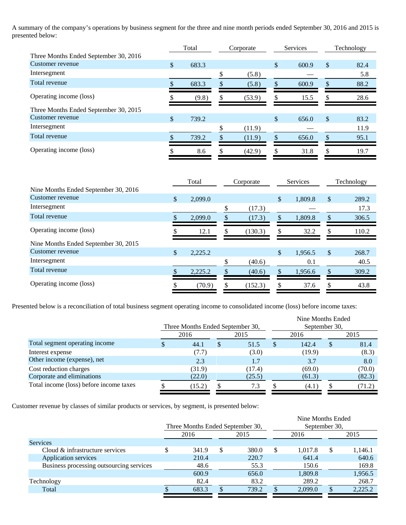A summary of the company's operations by business segment for the three and nine month periods ended September 30, 2016 and 2015 is presented below:<br>
Total Corporate Services Technology

|                                       | Total |       |    | Corporate |    | Services |    | Technology |  |
|---------------------------------------|-------|-------|----|-----------|----|----------|----|------------|--|
| Three Months Ended September 30, 2016 |       |       |    |           |    |          |    |            |  |
| Customer revenue                      | \$    | 683.3 |    |           | \$ | 600.9    | \$ | 82.4       |  |
| Intersegment                          |       |       | \$ | (5.8)     |    |          |    | 5.8        |  |
| Total revenue                         |       | 683.3 |    | (5.8)     |    | 600.9    | \$ | 88.2       |  |
| Operating income (loss)               |       | (9.8) | S  | (53.9)    |    | 15.5     |    | 28.6       |  |
| Three Months Ended September 30, 2015 |       |       |    |           |    |          |    |            |  |
| Customer revenue                      | \$    | 739.2 |    |           | \$ | 656.0    | \$ | 83.2       |  |
| Intersegment                          |       |       | ۰D | (11.9)    |    |          |    | 11.9       |  |
| Total revenue                         |       | 739.2 |    | (11.9)    |    | 656.0    |    | 95.1       |  |
| Operating income (loss)               |       | 8.6   |    | (42.9)    |    | 31.8     | \$ | 19.7       |  |

|                                      | Total |         |    | Corporate |               | Services |    | Technology |  |
|--------------------------------------|-------|---------|----|-----------|---------------|----------|----|------------|--|
| Nine Months Ended September 30, 2016 |       |         |    |           |               |          |    |            |  |
| Customer revenue                     | \$    | 2.099.0 |    |           | $\mathbb{S}$  | 1,809.8  | \$ | 289.2      |  |
| Intersegment                         |       |         | \$ | (17.3)    |               |          |    | 17.3       |  |
| Total revenue                        |       | 2,099.0 | \$ | (17.3)    | \$            | 1,809.8  | \$ | 306.5      |  |
| Operating income (loss)              |       | 12.1    | \$ | (130.3)   | \$            | 32.2     |    | 110.2      |  |
| Nine Months Ended September 30, 2015 |       |         |    |           |               |          |    |            |  |
| Customer revenue                     | \$    | 2,225.2 |    |           | \$            | 1,956.5  | \$ | 268.7      |  |
| Intersegment                         |       |         | \$ | (40.6)    |               | 0.1      |    | 40.5       |  |
| Total revenue                        |       | 2,225.2 | \$ | (40.6)    | $\mathcal{S}$ | 1,956.6  |    | 309.2      |  |
| Operating income (loss)              |       | (70.9)  | S  | (152.3)   | S             | 37.6     |    | 43.8       |  |

Presented below is a reconciliation of total business segment operating income to consolidated income (loss) before income taxes:

| Three Months Ended September 30, |        |  |        |  | September 30, |  |                   |  |
|----------------------------------|--------|--|--------|--|---------------|--|-------------------|--|
|                                  | 2016   |  | 2015   |  | 2016          |  | 2015              |  |
|                                  | 44.1   |  | 51.5   |  | 142.4         |  | 81.4              |  |
|                                  | (7.7)  |  | (3.0)  |  | (19.9)        |  | (8.3)             |  |
|                                  | 2.3    |  | 1.7    |  | 3.7           |  | 8.0               |  |
|                                  | (31.9) |  | (17.4) |  | (69.0)        |  | (70.0)            |  |
|                                  | (22.0) |  | (25.5) |  | (61.3)        |  | (82.3)            |  |
|                                  | (15.2) |  | 7.3    |  | (4.1)         |  | (71.2)            |  |
|                                  |        |  |        |  |               |  | Nine Months Ended |  |

Customer revenue by classes of similar products or services, by segment, is presented below:

|      | Three Months Ended September 30, |   |       |  | September 30, |  |                   |  |
|------|----------------------------------|---|-------|--|---------------|--|-------------------|--|
| 2016 |                                  |   | 2015  |  | 2016          |  | 2015              |  |
|      |                                  |   |       |  |               |  |                   |  |
|      | 341.9                            | S | 380.0 |  | 1.017.8       |  | 1,146.1           |  |
|      | 210.4                            |   | 220.7 |  | 641.4         |  | 640.6             |  |
|      | 48.6                             |   | 55.3  |  | 150.6         |  | 169.8             |  |
|      | 600.9                            |   | 656.0 |  | 1,809.8       |  | 1,956.5           |  |
|      | 82.4                             |   | 83.2  |  | 289.2         |  | 268.7             |  |
|      | 683.3                            |   | 739.2 |  | 2,099.0       |  | 2,225.2           |  |
|      |                                  |   |       |  |               |  | Nine Months Ended |  |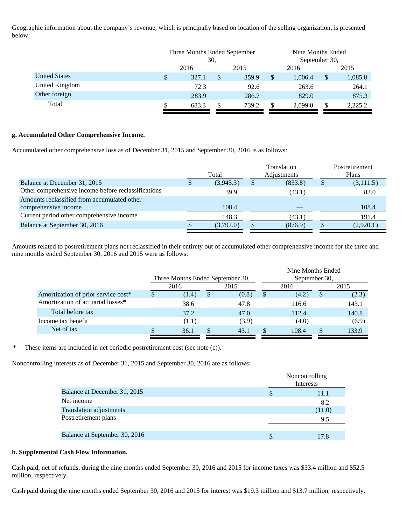Geographic information about the company's revenue, which is principally based on location of the selling organization, is presented below:

|                      |     | Three Months Ended September<br>30. |   |       |    | Nine Months Ended<br>September 30, |    |         |  |
|----------------------|-----|-------------------------------------|---|-------|----|------------------------------------|----|---------|--|
|                      |     | 2016                                |   | 2015  |    | 2016                               |    | 2015    |  |
| <b>United States</b> | \$. | 327.1                               | S | 359.9 | \$ | 1,006.4                            | \$ | 1,085.8 |  |
| United Kingdom       |     | 72.3                                |   | 92.6  |    | 263.6                              |    | 264.1   |  |
| Other foreign        |     | 283.9                               |   | 286.7 |    | 829.0                              |    | 875.3   |  |
| Total                |     | 683.3                               |   | 739.2 |    | 2.099.0                            |    | 2,225.2 |  |

#### **g. Accumulated Other Comprehensive Income.**

Accumulated other comprehensive loss as of December 31, 2015 and September 30, 2016 is as follows:

|       |           |  |         |                            | Postretirement |  |
|-------|-----------|--|---------|----------------------------|----------------|--|
| Total |           |  |         | Plans                      |                |  |
|       | (3,945.3) |  | (833.8) | S.                         | (3,111.5)      |  |
|       | 39.9      |  | (43.1)  |                            | 83.0           |  |
|       |           |  |         |                            |                |  |
|       | 108.4     |  |         |                            | 108.4          |  |
|       | 148.3     |  | (43.1)  |                            | 191.4          |  |
|       | (3,797.0) |  | (876.9) |                            | (2,920.1)      |  |
|       |           |  |         | Translation<br>Adjustments |                |  |

Amounts related to postretirement plans not reclassified in their entirety out of accumulated other comprehensive income for the three and nine months ended September 30, 2016 and 2015 were as follows:

|                                     |                                  |       |  |       |      | Nine Months Ended |      |       |  |  |
|-------------------------------------|----------------------------------|-------|--|-------|------|-------------------|------|-------|--|--|
|                                     | Three Months Ended September 30, |       |  |       |      | September 30,     |      |       |  |  |
|                                     |                                  | 2016  |  | 2015  | 2016 |                   | 2015 |       |  |  |
| Amortization of prior service cost* |                                  | (1.4) |  | (0.8) |      | (4.2)             |      | (2.3) |  |  |
| Amortization of actuarial losses*   |                                  | 38.6  |  | 47.8  |      | 116.6             |      | 143.1 |  |  |
| Total before tax                    |                                  | 37.2  |  | 47.0  |      | 112.4             |      | 140.8 |  |  |
| Income tax benefit                  |                                  | (1.1) |  | (3.9) |      | (4.0)             |      | (6.9) |  |  |
| Net of tax                          |                                  | 36.1  |  | 43.1  |      | 108.4             |      | 133.9 |  |  |

\* These items are included in net periodic postretirement cost (see note (c)).

Noncontrolling interests as of December 31, 2015 and September 30, 2016 are as follows:

|                                | Noncontrolling<br>Interests |        |  |  |  |
|--------------------------------|-----------------------------|--------|--|--|--|
| Balance at December 31, 2015   |                             | 11.1   |  |  |  |
| Net income                     |                             | 8.2    |  |  |  |
| <b>Translation adjustments</b> |                             | (11.0) |  |  |  |
| Postretirement plans           |                             | 9.5    |  |  |  |
|                                |                             |        |  |  |  |
| Balance at September 30, 2016  |                             | 17.8   |  |  |  |

#### **h. Supplemental Cash Flow Information.**

Cash paid, net of refunds, during the nine months ended September 30, 2016 and 2015 for income taxes was \$33.4 million and \$52.5 million, respectively.

Cash paid during the nine months ended September 30, 2016 and 2015 for interest was \$19.3 million and \$13.7 million, respectively.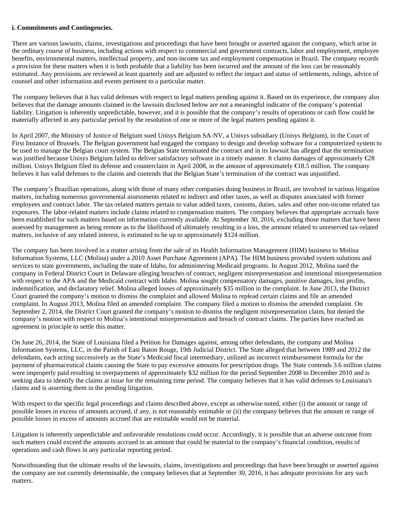#### **i. Commitments and Contingencies.**

There are various lawsuits, claims, investigations and proceedings that have been brought or asserted against the company, which arise in the ordinary course of business, including actions with respect to commercial and government contracts, labor and employment, employee benefits, environmental matters, intellectual property, and non-income tax and employment compensation in Brazil. The company records a provision for these matters when it is both probable that a liability has been incurred and the amount of the loss can be reasonably estimated. Any provisions are reviewed at least quarterly and are adjusted to reflect the impact and status of settlements, rulings, advice of counsel and other information and events pertinent to a particular matter.

The company believes that it has valid defenses with respect to legal matters pending against it. Based on its experience, the company also believes that the damage amounts claimed in the lawsuits disclosed below are not a meaningful indicator of the company's potential liability. Litigation is inherently unpredictable, however, and it is possible that the company's results of operations or cash flow could be materially affected in any particular period by the resolution of one or more of the legal matters pending against it.

In April 2007, the Ministry of Justice of Belgium sued Unisys Belgium SA-NV, a Unisys subsidiary (Unisys Belgium), in the Court of First Instance of Brussels. The Belgian government had engaged the company to design and develop software for a computerized system to be used to manage the Belgian court system. The Belgian State terminated the contract and in its lawsuit has alleged that the termination was justified because Unisys Belgium failed to deliver satisfactory software in a timely manner. It claims damages of approximately €28 million. Unisys Belgium filed its defense and counterclaim in April 2008, in the amount of approximately €18.5 million. The company believes it has valid defenses to the claims and contends that the Belgian State's termination of the contract was unjustified.

The company's Brazilian operations, along with those of many other companies doing business in Brazil, are involved in various litigation matters, including numerous governmental assessments related to indirect and other taxes, as well as disputes associated with former employees and contract labor. The tax-related matters pertain to value added taxes, customs, duties, sales and other non-income related tax exposures. The labor-related matters include claims related to compensation matters. The company believes that appropriate accruals have been established for such matters based on information currently available. At September 30, 2016, excluding those matters that have been assessed by management as being remote as to the likelihood of ultimately resulting in a loss, the amount related to unreserved tax-related matters, inclusive of any related interest, is estimated to be up to approximately \$124 million.

The company has been involved in a matter arising from the sale of its Health Information Management (HIM) business to Molina Information Systems, LLC (Molina) under a 2010 Asset Purchase Agreement (APA). The HIM business provided system solutions and services to state governments, including the state of Idaho, for administering Medicaid programs. In August 2012, Molina sued the company in Federal District Court in Delaware alleging breaches of contract, negligent misrepresentation and intentional misrepresentation with respect to the APA and the Medicaid contract with Idaho. Molina sought compensatory damages, punitive damages, lost profits, indemnification, and declaratory relief. Molina alleged losses of approximately \$35 million in the complaint. In June 2013, the District Court granted the company's motion to dismiss the complaint and allowed Molina to replead certain claims and file an amended complaint. In August 2013, Molina filed an amended complaint. The company filed a motion to dismiss the amended complaint. On September 2, 2014, the District Court granted the company's motion to dismiss the negligent misrepresentation claim, but denied the company's motion with respect to Molina's intentional misrepresentation and breach of contract claims. The parties have reached an agreement in principle to settle this matter.

On June 26, 2014, the State of Louisiana filed a Petition for Damages against, among other defendants, the company and Molina Information Systems, LLC, in the Parish of East Baton Rouge, 19th Judicial District. The State alleged that between 1989 and 2012 the defendants, each acting successively as the State's Medicaid fiscal intermediary, utilized an incorrect reimbursement formula for the payment of pharmaceutical claims causing the State to pay excessive amounts for prescription drugs. The State contends 3.6 million claims were improperly paid resulting in overpayments of approximately \$32 million for the period September 2008 to December 2010 and is seeking data to identify the claims at issue for the remaining time period. The company believes that it has valid defenses to Louisiana's claims and is asserting them in the pending litigation.

With respect to the specific legal proceedings and claims described above, except as otherwise noted, either (i) the amount or range of possible losses in excess of amounts accrued, if any, is not reasonably estimable or (ii) the company believes that the amount or range of possible losses in excess of amounts accrued that are estimable would not be material.

Litigation is inherently unpredictable and unfavorable resolutions could occur. Accordingly, it is possible that an adverse outcome from such matters could exceed the amounts accrued in an amount that could be material to the company's financial condition, results of operations and cash flows in any particular reporting period.

Notwithstanding that the ultimate results of the lawsuits, claims, investigations and proceedings that have been brought or asserted against the company are not currently determinable, the company believes that at September 30, 2016, it has adequate provisions for any such matters.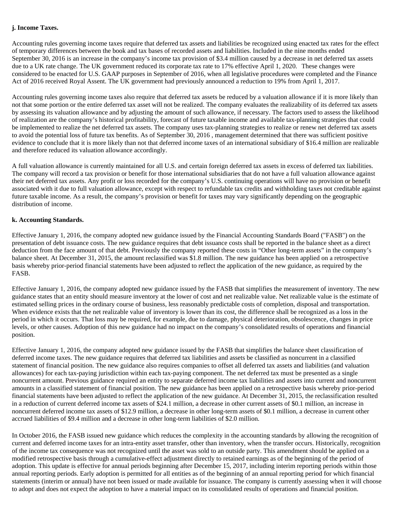#### **j. Income Taxes.**

Accounting rules governing income taxes require that deferred tax assets and liabilities be recognized using enacted tax rates for the effect of temporary differences between the book and tax bases of recorded assets and liabilities. Included in the nine months ended September 30, 2016 is an increase in the company's income tax provision of \$3.4 million caused by a decrease in net deferred tax assets due to a UK rate change. The UK government reduced its corporate tax rate to 17% effective April 1, 2020. These changes were considered to be enacted for U.S. GAAP purposes in September of 2016, when all legislative procedures were completed and the Finance Act of 2016 received Royal Assent. The UK government had previously announced a reduction to 19% from April 1, 2017.

Accounting rules governing income taxes also require that deferred tax assets be reduced by a valuation allowance if it is more likely than not that some portion or the entire deferred tax asset will not be realized. The company evaluates the realizability of its deferred tax assets by assessing its valuation allowance and by adjusting the amount of such allowance, if necessary. The factors used to assess the likelihood of realization are the company's historical profitability, forecast of future taxable income and available tax-planning strategies that could be implemented to realize the net deferred tax assets. The company uses tax-planning strategies to realize or renew net deferred tax assets to avoid the potential loss of future tax benefits. As of September 30, 2016 , management determined that there was sufficient positive evidence to conclude that it is more likely than not that deferred income taxes of an international subsidiary of \$16.4 million are realizable and therefore reduced its valuation allowance accordingly.

A full valuation allowance is currently maintained for all U.S. and certain foreign deferred tax assets in excess of deferred tax liabilities. The company will record a tax provision or benefit for those international subsidiaries that do not have a full valuation allowance against their net deferred tax assets. Any profit or loss recorded for the company's U.S. continuing operations will have no provision or benefit associated with it due to full valuation allowance, except with respect to refundable tax credits and withholding taxes not creditable against future taxable income. As a result, the company's provision or benefit for taxes may vary significantly depending on the geographic distribution of income.

#### **k. Accounting Standards.**

Effective January 1, 2016, the company adopted new guidance issued by the Financial Accounting Standards Board ("FASB") on the presentation of debt issuance costs. The new guidance requires that debt issuance costs shall be reported in the balance sheet as a direct deduction from the face amount of that debt. Previously the company reported these costs in "Other long-term assets" in the company's balance sheet. At December 31, 2015, the amount reclassified was \$1.8 million. The new guidance has been applied on a retrospective basis whereby prior-period financial statements have been adjusted to reflect the application of the new guidance, as required by the FASB.

Effective January 1, 2016, the company adopted new guidance issued by the FASB that simplifies the measurement of inventory. The new guidance states that an entity should measure inventory at the lower of cost and net realizable value. Net realizable value is the estimate of estimated selling prices in the ordinary course of business, less reasonably predictable costs of completion, disposal and transportation. When evidence exists that the net realizable value of inventory is lower than its cost, the difference shall be recognized as a loss in the period in which it occurs. That loss may be required, for example, due to damage, physical deterioration, obsolescence, changes in price levels, or other causes. Adoption of this new guidance had no impact on the company's consolidated results of operations and financial position.

Effective January 1, 2016, the company adopted new guidance issued by the FASB that simplifies the balance sheet classification of deferred income taxes. The new guidance requires that deferred tax liabilities and assets be classified as noncurrent in a classified statement of financial position. The new guidance also requires companies to offset all deferred tax assets and liabilities (and valuation allowances) for each tax-paying jurisdiction within each tax-paying component. The net deferred tax must be presented as a single noncurrent amount. Previous guidance required an entity to separate deferred income tax liabilities and assets into current and noncurrent amounts in a classified statement of financial position. The new guidance has been applied on a retrospective basis whereby prior-period financial statements have been adjusted to reflect the application of the new guidance. At December 31, 2015, the reclassification resulted in a reduction of current deferred income tax assets of \$24.1 million, a decrease in other current assets of \$0.1 million, an increase in noncurrent deferred income tax assets of \$12.9 million, a decrease in other long-term assets of \$0.1 million, a decrease in current other accrued liabilities of \$9.4 million and a decrease in other long-term liabilities of \$2.0 million.

In October 2016, the FASB issued new guidance which reduces the complexity in the accounting standards by allowing the recognition of current and deferred income taxes for an intra-entity asset transfer, other than inventory, when the transfer occurs. Historically, recognition of the income tax consequence was not recognized until the asset was sold to an outside party. This amendment should be applied on a modified retrospective basis through a cumulative-effect adjustment directly to retained earnings as of the beginning of the period of adoption. This update is effective for annual periods beginning after December 15, 2017, including interim reporting periods within those annual reporting periods. Early adoption is permitted for all entities as of the beginning of an annual reporting period for which financial statements (interim or annual) have not been issued or made available for issuance. The company is currently assessing when it will choose to adopt and does not expect the adoption to have a material impact on its consolidated results of operations and financial position.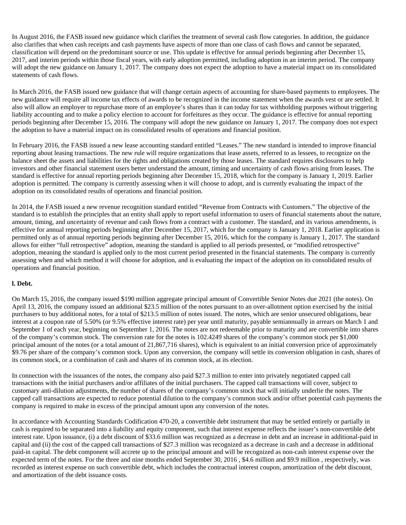In August 2016, the FASB issued new guidance which clarifies the treatment of several cash flow categories. In addition, the guidance also clarifies that when cash receipts and cash payments have aspects of more than one class of cash flows and cannot be separated, classification will depend on the predominant source or use. This update is effective for annual periods beginning after December 15, 2017, and interim periods within those fiscal years, with early adoption permitted, including adoption in an interim period. The company will adopt the new guidance on January 1, 2017. The company does not expect the adoption to have a material impact on its consolidated statements of cash flows.

In March 2016, the FASB issued new guidance that will change certain aspects of accounting for share-based payments to employees. The new guidance will require all income tax effects of awards to be recognized in the income statement when the awards vest or are settled. It also will allow an employer to repurchase more of an employee's shares than it can today for tax withholding purposes without triggering liability accounting and to make a policy election to account for forfeitures as they occur. The guidance is effective for annual reporting periods beginning after December 15, 2016. The company will adopt the new guidance on January 1, 2017. The company does not expect the adoption to have a material impact on its consolidated results of operations and financial position.

In February 2016, the FASB issued a new lease accounting standard entitled "Leases." The new standard is intended to improve financial reporting about leasing transactions. The new rule will require organizations that lease assets, referred to as lessees, to recognize on the balance sheet the assets and liabilities for the rights and obligations created by those leases. The standard requires disclosures to help investors and other financial statement users better understand the amount, timing and uncertainty of cash flows arising from leases. The standard is effective for annual reporting periods beginning after December 15, 2018, which for the company is January 1, 2019. Earlier adoption is permitted. The company is currently assessing when it will choose to adopt, and is currently evaluating the impact of the adoption on its consolidated results of operations and financial position.

In 2014, the FASB issued a new revenue recognition standard entitled "Revenue from Contracts with Customers." The objective of the standard is to establish the principles that an entity shall apply to report useful information to users of financial statements about the nature, amount, timing, and uncertainty of revenue and cash flows from a contract with a customer. The standard, and its various amendments, is effective for annual reporting periods beginning after December 15, 2017, which for the company is January 1, 2018. Earlier application is permitted only as of annual reporting periods beginning after December 15, 2016, which for the company is January 1, 2017. The standard allows for either "full retrospective" adoption, meaning the standard is applied to all periods presented, or "modified retrospective" adoption, meaning the standard is applied only to the most current period presented in the financial statements. The company is currently assessing when and which method it will choose for adoption, and is evaluating the impact of the adoption on its consolidated results of operations and financial position.

#### **l. Debt.**

On March 15, 2016, the company issued \$190 million aggregate principal amount of Convertible Senior Notes due 2021 (the notes). On April 13, 2016, the company issued an additional \$23.5 million of the notes pursuant to an over-allotment option exercised by the initial purchasers to buy additional notes, for a total of \$213.5 million of notes issued. The notes, which are senior unsecured obligations, bear interest at a coupon rate of 5.50% (or 9.5% effective interest rate) per year until maturity, payable semiannually in arrears on March 1 and September 1 of each year, beginning on September 1, 2016. The notes are not redeemable prior to maturity and are convertible into shares of the company's common stock. The conversion rate for the notes is 102.4249 shares of the company's common stock per \$1,000 principal amount of the notes (or a total amount of 21,867,716 shares), which is equivalent to an initial conversion price of approximately \$9.76 per share of the company's common stock. Upon any conversion, the company will settle its conversion obligation in cash, shares of its common stock, or a combination of cash and shares of its common stock, at its election.

In connection with the issuances of the notes, the company also paid \$27.3 million to enter into privately negotiated capped call transactions with the initial purchasers and/or affiliates of the initial purchasers. The capped call transactions will cover, subject to customary anti-dilution adjustments, the number of shares of the company's common stock that will initially underlie the notes. The capped call transactions are expected to reduce potential dilution to the company's common stock and/or offset potential cash payments the company is required to make in excess of the principal amount upon any conversion of the notes.

In accordance with Accounting Standards Codification 470-20, a convertible debt instrument that may be settled entirely or partially in cash is required to be separated into a liability and equity component, such that interest expense reflects the issuer's non-convertible debt interest rate. Upon issuance, (i) a debt discount of \$33.6 million was recognized as a decrease in debt and an increase in additional-paid in capital and (ii) the cost of the capped call transactions of \$27.3 million was recognized as a decrease in cash and a decrease in additional paid-in capital. The debt component will accrete up to the principal amount and will be recognized as non-cash interest expense over the expected term of the notes. For the three and nine months ended September 30, 2016 , \$4.6 million and \$9.9 million , respectively, was recorded as interest expense on such convertible debt, which includes the contractual interest coupon, amortization of the debt discount, and amortization of the debt issuance costs.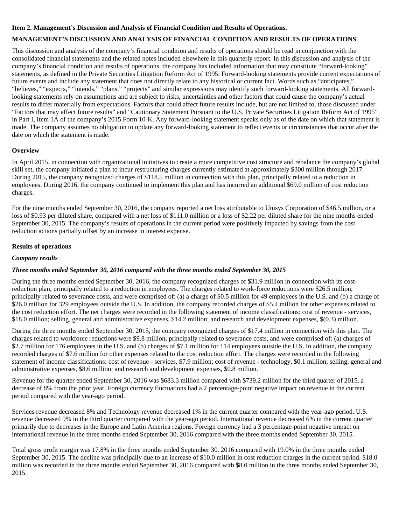#### **Item 2. Management's Discussion and Analysis of Financial Condition and Results of Operations.**

#### **MANAGEMENT'S DISCUSSION AND ANALYSIS OF FINANCIAL CONDITION AND RESULTS OF OPERATIONS**

This discussion and analysis of the company's financial condition and results of operations should be read in conjunction with the consolidated financial statements and the related notes included elsewhere in this quarterly report. In this discussion and analysis of the company's financial condition and results of operations, the company has included information that may constitute "forward-looking" statements, as defined in the Private Securities Litigation Reform Act of 1995. Forward-looking statements provide current expectations of future events and include any statement that does not directly relate to any historical or current fact. Words such as "anticipates," "believes," "expects," "intends," "plans," "projects" and similar expressions may identify such forward-looking statements. All forwardlooking statements rely on assumptions and are subject to risks, uncertainties and other factors that could cause the company's actual results to differ materially from expectations. Factors that could affect future results include, but are not limited to, those discussed under "Factors that may affect future results" and "Cautionary Statement Pursuant to the U.S. Private Securities Litigation Reform Act of 1995" in Part I, Item 1A of the company's 2015 Form 10-K. Any forward-looking statement speaks only as of the date on which that statement is made. The company assumes no obligation to update any forward-looking statement to reflect events or circumstances that occur after the date on which the statement is made.

#### **Overview**

In April 2015, in connection with organizational initiatives to create a more competitive cost structure and rebalance the company's global skill set, the company initiated a plan to incur restructuring charges currently estimated at approximately \$300 million through 2017. During 2015, the company recognized charges of \$118.5 million in connection with this plan, principally related to a reduction in employees. During 2016, the company continued to implement this plan and has incurred an additional \$69.0 million of cost reduction charges.

For the nine months ended September 30, 2016, the company reported a net loss attributable to Unisys Corporation of \$46.5 million, or a loss of \$0.93 per diluted share, compared with a net loss of \$111.0 million or a loss of \$2.22 per diluted share for the nine months ended September 30, 2015. The company's results of operations in the current period were positively impacted by savings from the cost reduction actions partially offset by an increase in interest expense.

#### **Results of operations**

#### *Company results*

#### *Three months ended September 30, 2016 compared with the three months ended September 30, 2015*

During the three months ended September 30, 2016, the company recognized charges of \$31.9 million in connection with its costreduction plan, principally related to a reduction in employees. The charges related to work-force reductions were \$26.5 million, principally related to severance costs, and were comprised of: (a) a charge of \$0.5 million for 49 employees in the U.S. and (b) a charge of \$26.0 million for 329 employees outside the U.S. In addition, the company recorded charges of \$5.4 million for other expenses related to the cost reduction effort. The net charges were recorded in the following statement of income classifications: cost of revenue - services, \$18.0 million; selling, general and administrative expenses, \$14.2 million; and research and development expenses, \$(0.3) million.

During the three months ended September 30, 2015, the company recognized charges of \$17.4 million in connection with this plan. The charges related to workforce reductions were \$9.8 million, principally related to severance costs, and were comprised of: (a) charges of \$2.7 million for 176 employees in the U.S. and (b) charges of \$7.1 million for 114 employees outside the U.S. In addition, the company recorded charges of \$7.6 million for other expenses related to the cost reduction effort. The charges were recorded in the following statement of income classifications: cost of revenue - services, \$7.9 million; cost of revenue - technology, \$0.1 million; selling, general and administrative expenses, \$8.6 million; and research and development expenses, \$0.8 million.

Revenue for the quarter ended September 30, 2016 was \$683.3 million compared with \$739.2 million for the third quarter of 2015, a decrease of 8% from the prior year. Foreign currency fluctuations had a 2 percentage-point negative impact on revenue in the current period compared with the year-ago period.

Services revenue decreased 8% and Technology revenue decreased 1% in the current quarter compared with the year-ago period. U.S. revenue decreased 9% in the third quarter compared with the year-ago period. International revenue decreased 6% in the current quarter primarily due to decreases in the Europe and Latin America regions. Foreign currency had a 3 percentage-point negative impact on international revenue in the three months ended September 30, 2016 compared with the three months ended September 30, 2015.

Total gross profit margin was 17.8% in the three months ended September 30, 2016 compared with 19.0% in the three months ended September 30, 2015. The decline was principally due to an increase of \$10.0 million in cost reduction charges in the current period. \$18.0 million was recorded in the three months ended September 30, 2016 compared with \$8.0 million in the three months ended September 30, 2015.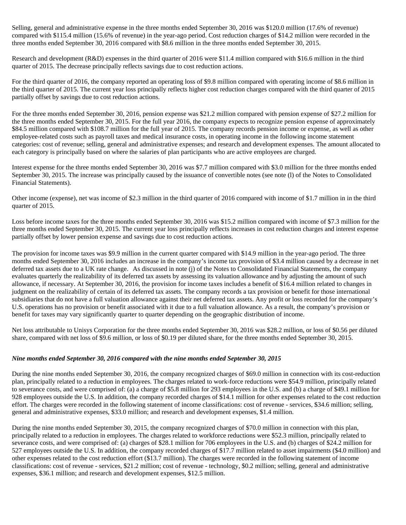Selling, general and administrative expense in the three months ended September 30, 2016 was \$120.0 million (17.6% of revenue) compared with \$115.4 million (15.6% of revenue) in the year-ago period. Cost reduction charges of \$14.2 million were recorded in the three months ended September 30, 2016 compared with \$8.6 million in the three months ended September 30, 2015.

Research and development (R&D) expenses in the third quarter of 2016 were \$11.4 million compared with \$16.6 million in the third quarter of 2015. The decrease principally reflects savings due to cost reduction actions.

For the third quarter of 2016, the company reported an operating loss of \$9.8 million compared with operating income of \$8.6 million in the third quarter of 2015. The current year loss principally reflects higher cost reduction charges compared with the third quarter of 2015 partially offset by savings due to cost reduction actions.

For the three months ended September 30, 2016, pension expense was \$21.2 million compared with pension expense of \$27.2 million for the three months ended September 30, 2015. For the full year 2016, the company expects to recognize pension expense of approximately \$84.5 million compared with \$108.7 million for the full year of 2015. The company records pension income or expense, as well as other employee-related costs such as payroll taxes and medical insurance costs, in operating income in the following income statement categories: cost of revenue; selling, general and administrative expenses; and research and development expenses. The amount allocated to each category is principally based on where the salaries of plan participants who are active employees are charged.

Interest expense for the three months ended September 30, 2016 was \$7.7 million compared with \$3.0 million for the three months ended September 30, 2015. The increase was principally caused by the issuance of convertible notes (see note (l) of the Notes to Consolidated Financial Statements).

Other income (expense), net was income of \$2.3 million in the third quarter of 2016 compared with income of \$1.7 million in in the third quarter of 2015.

Loss before income taxes for the three months ended September 30, 2016 was \$15.2 million compared with income of \$7.3 million for the three months ended September 30, 2015. The current year loss principally reflects increases in cost reduction charges and interest expense partially offset by lower pension expense and savings due to cost reduction actions.

The provision for income taxes was \$9.9 million in the current quarter compared with \$14.9 million in the year-ago period. The three months ended September 30, 2016 includes an increase in the company's income tax provision of \$3.4 million caused by a decrease in net deferred tax assets due to a UK rate change. As discussed in note (j) of the Notes to Consolidated Financial Statements, the company evaluates quarterly the realizability of its deferred tax assets by assessing its valuation allowance and by adjusting the amount of such allowance, if necessary. At September 30, 2016, the provision for income taxes includes a benefit of \$16.4 million related to changes in judgment on the realizability of certain of its deferred tax assets. The company records a tax provision or benefit for those international subsidiaries that do not have a full valuation allowance against their net deferred tax assets. Any profit or loss recorded for the company's U.S. operations has no provision or benefit associated with it due to a full valuation allowance. As a result, the company's provision or benefit for taxes may vary significantly quarter to quarter depending on the geographic distribution of income.

Net loss attributable to Unisys Corporation for the three months ended September 30, 2016 was \$28.2 million, or loss of \$0.56 per diluted share, compared with net loss of \$9.6 million, or loss of \$0.19 per diluted share, for the three months ended September 30, 2015.

#### *Nine months ended September 30, 2016 compared with the nine months ended September 30, 2015*

During the nine months ended September 30, 2016, the company recognized charges of \$69.0 million in connection with its cost-reduction plan, principally related to a reduction in employees. The charges related to work-force reductions were \$54.9 million, principally related to severance costs, and were comprised of: (a) a charge of \$5.8 million for 293 employees in the U.S. and (b) a charge of \$49.1 million for 928 employees outside the U.S. In addition, the company recorded charges of \$14.1 million for other expenses related to the cost reduction effort. The charges were recorded in the following statement of income classifications: cost of revenue - services, \$34.6 million; selling, general and administrative expenses, \$33.0 million; and research and development expenses, \$1.4 million.

During the nine months ended September 30, 2015, the company recognized charges of \$70.0 million in connection with this plan, principally related to a reduction in employees. The charges related to workforce reductions were \$52.3 million, principally related to severance costs, and were comprised of: (a) charges of \$28.1 million for 706 employees in the U.S. and (b) charges of \$24.2 million for 527 employees outside the U.S. In addition, the company recorded charges of \$17.7 million related to asset impairments (\$4.0 million) and other expenses related to the cost reduction effort (\$13.7 million). The charges were recorded in the following statement of income classifications: cost of revenue - services, \$21.2 million; cost of revenue - technology, \$0.2 million; selling, general and administrative expenses, \$36.1 million; and research and development expenses, \$12.5 million.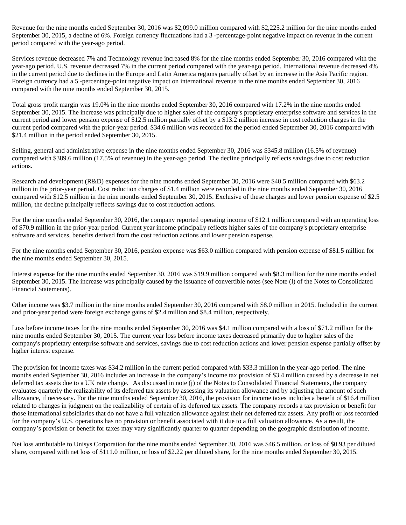Revenue for the nine months ended September 30, 2016 was \$2,099.0 million compared with \$2,225.2 million for the nine months ended September 30, 2015, a decline of 6%. Foreign currency fluctuations had a 3-percentage-point negative impact on revenue in the current period compared with the year-ago period.

Services revenue decreased 7% and Technology revenue increased 8% for the nine months ended September 30, 2016 compared with the year-ago period. U.S. revenue decreased 7% in the current period compared with the year-ago period. International revenue decreased 4% in the current period due to declines in the Europe and Latin America regions partially offset by an increase in the Asia Pacific region. Foreign currency had a 5 -percentage-point negative impact on international revenue in the nine months ended September 30, 2016 compared with the nine months ended September 30, 2015.

Total gross profit margin was 19.0% in the nine months ended September 30, 2016 compared with 17.2% in the nine months ended September 30, 2015. The increase was principally due to higher sales of the company's proprietary enterprise software and services in the current period and lower pension expense of \$12.5 million partially offset by a \$13.2 million increase in cost reduction charges in the current period compared with the prior-year period. \$34.6 million was recorded for the period ended September 30, 2016 compared with \$21.4 million in the period ended September 30, 2015.

Selling, general and administrative expense in the nine months ended September 30, 2016 was \$345.8 million (16.5% of revenue) compared with \$389.6 million (17.5% of revenue) in the year-ago period. The decline principally reflects savings due to cost reduction actions.

Research and development (R&D) expenses for the nine months ended September 30, 2016 were \$40.5 million compared with \$63.2 million in the prior-year period. Cost reduction charges of \$1.4 million were recorded in the nine months ended September 30, 2016 compared with \$12.5 million in the nine months ended September 30, 2015. Exclusive of these charges and lower pension expense of \$2.5 million, the decline principally reflects savings due to cost reduction actions.

For the nine months ended September 30, 2016, the company reported operating income of \$12.1 million compared with an operating loss of \$70.9 million in the prior-year period. Current year income principally reflects higher sales of the company's proprietary enterprise software and services, benefits derived from the cost reduction actions and lower pension expense.

For the nine months ended September 30, 2016, pension expense was \$63.0 million compared with pension expense of \$81.5 million for the nine months ended September 30, 2015.

Interest expense for the nine months ended September 30, 2016 was \$19.9 million compared with \$8.3 million for the nine months ended September 30, 2015. The increase was principally caused by the issuance of convertible notes (see Note (l) of the Notes to Consolidated Financial Statements).

Other income was \$3.7 million in the nine months ended September 30, 2016 compared with \$8.0 million in 2015. Included in the current and prior-year period were foreign exchange gains of \$2.4 million and \$8.4 million, respectively.

Loss before income taxes for the nine months ended September 30, 2016 was \$4.1 million compared with a loss of \$71.2 million for the nine months ended September 30, 2015. The current year loss before income taxes decreased primarily due to higher sales of the company's proprietary enterprise software and services, savings due to cost reduction actions and lower pension expense partially offset by higher interest expense.

The provision for income taxes was \$34.2 million in the current period compared with \$33.3 million in the year-ago period. The nine months ended September 30, 2016 includes an increase in the company's income tax provision of \$3.4 million caused by a decrease in net deferred tax assets due to a UK rate change. As discussed in note (j) of the Notes to Consolidated Financial Statements, the company evaluates quarterly the realizability of its deferred tax assets by assessing its valuation allowance and by adjusting the amount of such allowance, if necessary. For the nine months ended September 30, 2016, the provision for income taxes includes a benefit of \$16.4 million related to changes in judgment on the realizability of certain of its deferred tax assets. The company records a tax provision or benefit for those international subsidiaries that do not have a full valuation allowance against their net deferred tax assets. Any profit or loss recorded for the company's U.S. operations has no provision or benefit associated with it due to a full valuation allowance. As a result, the company's provision or benefit for taxes may vary significantly quarter to quarter depending on the geographic distribution of income.

Net loss attributable to Unisys Corporation for the nine months ended September 30, 2016 was \$46.5 million, or loss of \$0.93 per diluted share, compared with net loss of \$111.0 million, or loss of \$2.22 per diluted share, for the nine months ended September 30, 2015.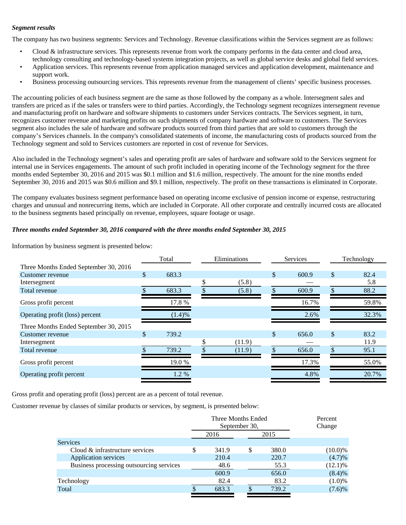#### *Segment results*

The company has two business segments: Services and Technology. Revenue classifications within the Services segment are as follows:<br>• Cloud & infrastructure services. This represents revenue from work the company performs

- technology consulting and technology-based systems integration projects, as well as global service desks and global field services.<br>Application services. This represents revenue from application managed services and applic
- support work.
- Business processing outsourcing services. This represents revenue from the management of clients' specific business processes.

The accounting policies of each business segment are the same as those followed by the company as a whole. Intersegment sales and transfers are priced as if the sales or transfers were to third parties. Accordingly, the Technology segment recognizes intersegment revenue and manufacturing profit on hardware and software shipments to customers under Services contracts. The Services segment, in turn, recognizes customer revenue and marketing profits on such shipments of company hardware and software to customers. The Services segment also includes the sale of hardware and software products sourced from third parties that are sold to customers through the company's Services channels. In the company's consolidated statements of income, the manufacturing costs of products sourced from the Technology segment and sold to Services customers are reported in cost of revenue for Services.

Also included in the Technology segment's sales and operating profit are sales of hardware and software sold to the Services segment for internal use in Services engagements. The amount of such profit included in operating income of the Technology segment for the three months ended September 30, 2016 and 2015 was \$0.1 million and \$1.6 million, respectively. The amount for the nine months ended September 30, 2016 and 2015 was \$0.6 million and \$9.1 million, respectively. The profit on these transactions is eliminated in Corporate.

The company evaluates business segment performance based on operating income exclusive of pension income or expense, restructuring charges and unusual and nonrecurring items, which are included in Corporate. All other corporate and centrally incurred costs are allocated to the business segments based principally on revenue, employees, square footage or usage.

#### *Three months ended September 30, 2016 compared with the three months ended September 30, 2015*

Information by business segment is presented below:

|                                       | Total       | Eliminations |              | Services | Technology |
|---------------------------------------|-------------|--------------|--------------|----------|------------|
| Three Months Ended September 30, 2016 |             |              |              |          |            |
| Customer revenue                      | \$<br>683.3 |              | $\mathbb{S}$ | 600.9    | \$<br>82.4 |
| Intersegment                          |             | (5.8)        |              |          | 5.8        |
| Total revenue                         | 683.3       | (5.8)        |              | 600.9    | 88.2       |
| Gross profit percent                  | 17.8 %      |              |              | 16.7%    | 59.8%      |
| Operating profit (loss) percent       | (1.4)%      |              |              | 2.6%     | 32.3%      |
| Three Months Ended September 30, 2015 |             |              |              |          |            |
| Customer revenue                      | \$<br>739.2 |              | $\mathbb{S}$ | 656.0    | \$<br>83.2 |
| Intersegment                          |             | (11.9)       |              |          | 11.9       |
| Total revenue                         | 739.2       | (11.9)       |              | 656.0    | 95.1       |
| Gross profit percent                  | 19.0%       |              |              | 17.3%    | 55.0%      |
| Operating profit percent              | 1.2 %       |              |              | 4.8%     | 20.7%      |

Gross profit and operating profit (loss) percent are as a percent of total revenue.

Customer revenue by classes of similar products or services, by segment, is presented below:

|                                          |                   | Three Months Ended<br>September 30, | Percent<br>Change |
|------------------------------------------|-------------------|-------------------------------------|-------------------|
|                                          | 2016              | 2015                                |                   |
| Services                                 |                   |                                     |                   |
| Cloud & infrastructure services          | S<br>341.9        | 380.0<br>S                          | $(10.0)\%$        |
| Application services                     | 210.4             | 220.7                               | (4.7)%            |
| Business processing outsourcing services | 48.6              | 55.3                                | $(12.1)\%$        |
|                                          | 600.9             | 656.0                               | (8.4)%            |
| Technology                               | 82.4              | 83.2                                | $(1.0)\%$         |
| Total                                    | 683.3<br><b>C</b> | 739.2                               | (7.6)%            |
|                                          |                   |                                     |                   |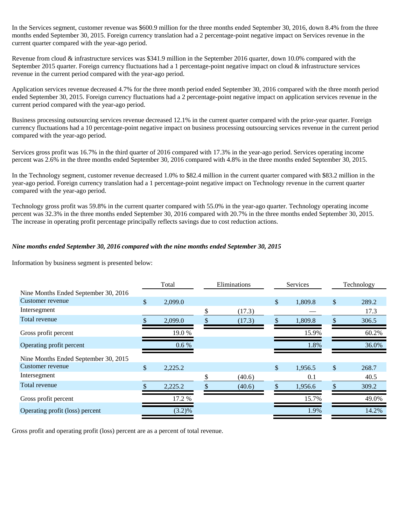In the Services segment, customer revenue was \$600.9 million for the three months ended September 30, 2016, down 8.4% from the three months ended September 30, 2015. Foreign currency translation had a 2 percentage-point negative impact on Services revenue in the current quarter compared with the year-ago period.

Revenue from cloud & infrastructure services was \$341.9 million in the September 2016 quarter, down 10.0% compared with the September 2015 quarter. Foreign currency fluctuations had a 1 percentage-point negative impact on cloud & infrastructure services revenue in the current period compared with the year-ago period.

Application services revenue decreased 4.7% for the three month period ended September 30, 2016 compared with the three month period ended September 30, 2015. Foreign currency fluctuations had a 2 percentage-point negative impact on application services revenue in the current period compared with the year-ago period.

Business processing outsourcing services revenue decreased 12.1% in the current quarter compared with the prior-year quarter. Foreign currency fluctuations had a 10 percentage-point negative impact on business processing outsourcing services revenue in the current period compared with the year-ago period.

Services gross profit was 16.7% in the third quarter of 2016 compared with 17.3% in the year-ago period. Services operating income percent was 2.6% in the three months ended September 30, 2016 compared with 4.8% in the three months ended September 30, 2015.

In the Technology segment, customer revenue decreased 1.0% to \$82.4 million in the current quarter compared with \$83.2 million in the year-ago period. Foreign currency translation had a 1 percentage-point negative impact on Technology revenue in the current quarter compared with the year-ago period.

Technology gross profit was 59.8% in the current quarter compared with 55.0% in the year-ago quarter. Technology operating income percent was 32.3% in the three months ended September 30, 2016 compared with 20.7% in the three months ended September 30, 2015. The increase in operating profit percentage principally reflects savings due to cost reduction actions.

#### *Nine months ended September 30, 2016 compared with the nine months ended September 30, 2015*

Information by business segment is presented below:

| Total         |           | Eliminations |        |    |         | Technology      |       |
|---------------|-----------|--------------|--------|----|---------|-----------------|-------|
|               |           |              |        |    |         |                 |       |
| $\mathcal{S}$ | 2,099.0   |              |        | \$ | 1,809.8 | \$              | 289.2 |
|               |           | \$           | (17.3) |    |         |                 | 17.3  |
|               | 2,099.0   |              | (17.3) |    | 1,809.8 |                 | 306.5 |
|               | 19.0%     |              |        |    | 15.9%   |                 | 60.2% |
|               | 0.6 %     |              |        |    | 1.8%    |                 | 36.0% |
|               |           |              |        |    |         |                 |       |
| $\mathcal{S}$ | 2,225.2   |              |        | \$ | 1,956.5 | \$              | 268.7 |
|               |           | \$           | (40.6) |    | 0.1     |                 | 40.5  |
|               | 2,225.2   |              | (40.6) | ፍ  | 1,956.6 |                 | 309.2 |
|               | 17.2 %    |              |        |    | 15.7%   |                 | 49.0% |
|               | $(3.2)\%$ |              |        |    | 1.9%    |                 | 14.2% |
|               |           |              |        |    |         | <b>Services</b> |       |

Gross profit and operating profit (loss) percent are as a percent of total revenue.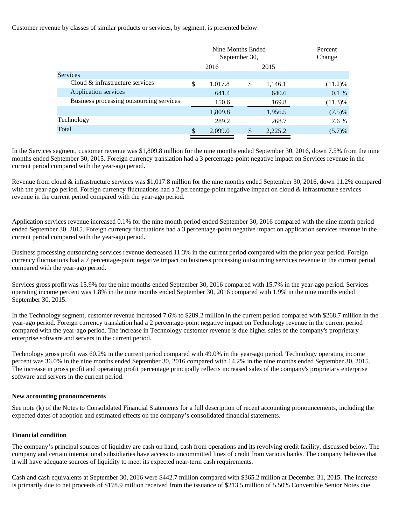Customer revenue by classes of similar products or services, by segment, is presented below:

|                                          | Nine Months Ended<br>September 30, |     | Percent<br>Change |            |
|------------------------------------------|------------------------------------|-----|-------------------|------------|
|                                          | 2016                               |     | 2015              |            |
| <b>Services</b>                          |                                    |     |                   |            |
| Cloud & infrastructure services          | \$<br>1,017.8                      | \$  | 1,146.1           | $(11.2)\%$ |
| Application services                     | 641.4                              |     | 640.6             | 0.1%       |
| Business processing outsourcing services | 150.6                              |     | 169.8             | $(11.3)\%$ |
|                                          | 1,809.8                            |     | 1,956.5           | $(7.5)\%$  |
| Technology                               | 289.2                              |     | 268.7             | 7.6 %      |
| Total                                    | 2,099.0                            | \$. | 2,225.2           | $(5.7)\%$  |

In the Services segment, customer revenue was \$1,809.8 million for the nine months ended September 30, 2016, down 7.5% from the nine months ended September 30, 2015. Foreign currency translation had a 3 percentage-point negative impact on Services revenue in the current period compared with the year-ago period.

Revenue from cloud & infrastructure services was \$1,017.8 million for the nine months ended September 30, 2016, down 11.2% compared with the year-ago period. Foreign currency fluctuations had a 2 percentage-point negative impact on cloud & infrastructure services revenue in the current period compared with the year-ago period.

Application services revenue increased 0.1% for the nine month period ended September 30, 2016 compared with the nine month period ended September 30, 2015. Foreign currency fluctuations had a 3 percentage-point negative impact on application services revenue in the current period compared with the year-ago period.

Business processing outsourcing services revenue decreased 11.3% in the current period compared with the prior-year period. Foreign currency fluctuations had a 7 percentage-point negative impact on business processing outsourcing services revenue in the current period compared with the year-ago period.

Services gross profit was 15.9% for the nine months ended September 30, 2016 compared with 15.7% in the year-ago period. Services operating income percent was 1.8% in the nine months ended September 30, 2016 compared with 1.9% in the nine months ended September 30, 2015.

In the Technology segment, customer revenue increased 7.6% to \$289.2 million in the current period compared with \$268.7 million in the year-ago period. Foreign currency translation had a 2 percentage-point negative impact on Technology revenue in the current period compared with the year-ago period. The increase in Technology customer revenue is due higher sales of the company's proprietary enterprise software and servers in the current period.

Technology gross profit was 60.2% in the current period compared with 49.0% in the year-ago period. Technology operating income percent was 36.0% in the nine months ended September 30, 2016 compared with 14.2% in the nine months ended September 30, 2015. The increase in gross profit and operating profit percentage principally reflects increased sales of the company's proprietary enterprise software and servers in the current period.

#### **New accounting pronouncements**

See note (k) of the Notes to Consolidated Financial Statements for a full description of recent accounting pronouncements, including the expected dates of adoption and estimated effects on the company's consolidated financial statements.

#### **Financial condition**

The company's principal sources of liquidity are cash on hand, cash from operations and its revolving credit facility, discussed below. The company and certain international subsidiaries have access to uncommitted lines of credit from various banks. The company believes that it will have adequate sources of liquidity to meet its expected near-term cash requirements.

Cash and cash equivalents at September 30, 2016 were \$442.7 million compared with \$365.2 million at December 31, 2015. The increase is primarily due to net proceeds of \$178.9 million received from the issuance of \$213.5 million of 5.50% Convertible Senior Notes due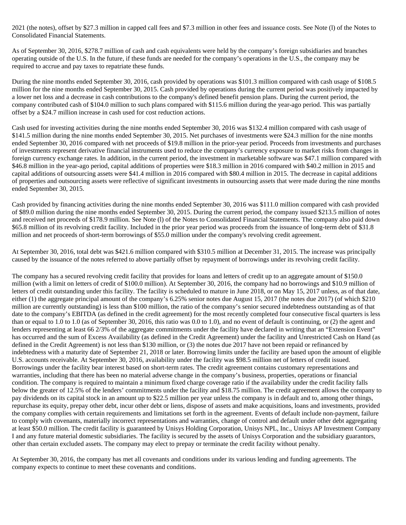2021 (the notes), offset by \$27.3 million in capped call fees and \$7.3 million in other fees and issuance costs. See Note (l) of the Notes to Consolidated Financial Statements.

As of September 30, 2016, \$278.7 million of cash and cash equivalents were held by the company's foreign subsidiaries and branches operating outside of the U.S. In the future, if these funds are needed for the company's operations in the U.S., the company may be required to accrue and pay taxes to repatriate these funds.

During the nine months ended September 30, 2016, cash provided by operations was \$101.3 million compared with cash usage of \$108.5 million for the nine months ended September 30, 2015. Cash provided by operations during the current period was positively impacted by a lower net loss and a decrease in cash contributions to the company's defined benefit pension plans. During the current period, the company contributed cash of \$104.0 million to such plans compared with \$115.6 million during the year-ago period. This was partially offset by a \$24.7 million increase in cash used for cost reduction actions.

Cash used for investing activities during the nine months ended September 30, 2016 was \$132.4 million compared with cash usage of \$141.5 million during the nine months ended September 30, 2015. Net purchases of investments were \$24.3 million for the nine months ended September 30, 2016 compared with net proceeds of \$19.8 million in the prior-year period. Proceeds from investments and purchases of investments represent derivative financial instruments used to reduce the company's currency exposure to market risks from changes in foreign currency exchange rates. In addition, in the current period, the investment in marketable software was \$47.1 million compared with \$46.8 million in the year-ago period, capital additions of properties were \$18.3 million in 2016 compared with \$40.2 million in 2015 and capital additions of outsourcing assets were \$41.4 million in 2016 compared with \$80.4 million in 2015. The decrease in capital additions of properties and outsourcing assets were reflective of significant investments in outsourcing assets that were made during the nine months ended September 30, 2015.

Cash provided by financing activities during the nine months ended September 30, 2016 was \$111.0 million compared with cash provided of \$89.0 million during the nine months ended September 30, 2015. During the current period, the company issued \$213.5 million of notes and received net proceeds of \$178.9 million. See Note (l) of the Notes to Consolidated Financial Statements. The company also paid down \$65.8 million of its revolving credit facility. Included in the prior year period was proceeds from the issuance of long-term debt of \$31.8 million and net proceeds of short-term borrowings of \$55.0 million under the company's revolving credit agreement.

At September 30, 2016, total debt was \$421.6 million compared with \$310.5 million at December 31, 2015. The increase was principally caused by the issuance of the notes referred to above partially offset by repayment of borrowings under its revolving credit facility.

The company has a secured revolving credit facility that provides for loans and letters of credit up to an aggregate amount of \$150.0 million (with a limit on letters of credit of \$100.0 million). At September 30, 2016, the company had no borrowings and \$10.9 million of letters of credit outstanding under this facility. The facility is scheduled to mature in June 2018, or on May 15, 2017 unless, as of that date, either (1) the aggregate principal amount of the company's 6.25% senior notes due August 15, 2017 (the notes due 2017) (of which \$210 million are currently outstanding) is less than \$100 million, the ratio of the company's senior secured indebtedness outstanding as of that date to the company's EBITDA (as defined in the credit agreement) for the most recently completed four consecutive fiscal quarters is less than or equal to 1.0 to 1.0 (as of September 30, 2016, this ratio was 0.0 to 1.0), and no event of default is continuing, or (2) the agent and lenders representing at least 66 2/3% of the aggregate commitments under the facility have declared in writing that an "Extension Event" has occurred and the sum of Excess Availability (as defined in the Credit Agreement) under the facility and Unrestricted Cash on Hand (as defined in the Credit Agreement) is not less than \$130 million, or (3) the notes due 2017 have not been repaid or refinanced by indebtedness with a maturity date of September 21, 2018 or later. Borrowing limits under the facility are based upon the amount of eligible U.S. accounts receivable. At September 30, 2016, availability under the facility was \$98.5 million net of letters of credit issued. Borrowings under the facility bear interest based on short-term rates. The credit agreement contains customary representations and warranties, including that there has been no material adverse change in the company's business, properties, operations or financial condition. The company is required to maintain a minimum fixed charge coverage ratio if the availability under the credit facility falls below the greater of 12.5% of the lenders' commitments under the facility and \$18.75 million. The credit agreement allows the company to pay dividends on its capital stock in an amount up to \$22.5 million per year unless the company is in default and to, among other things, repurchase its equity, prepay other debt, incur other debt or liens, dispose of assets and make acquisitions, loans and investments, provided the company complies with certain requirements and limitations set forth in the agreement. Events of default include non-payment, failure to comply with covenants, materially incorrect representations and warranties, change of control and default under other debt aggregating at least \$50.0 million. The credit facility is guaranteed by Unisys Holding Corporation, Unisys NPL, Inc., Unisys AP Investment Company I and any future material domestic subsidiaries. The facility is secured by the assets of Unisys Corporation and the subsidiary guarantors, other than certain excluded assets. The company may elect to prepay or terminate the credit facility without penalty.

At September 30, 2016, the company has met all covenants and conditions under its various lending and funding agreements. The company expects to continue to meet these covenants and conditions.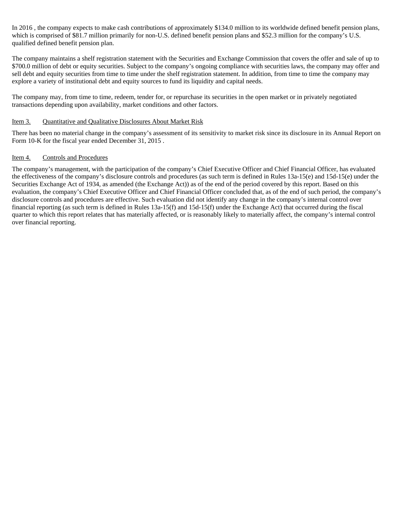In 2016 , the company expects to make cash contributions of approximately \$134.0 million to its worldwide defined benefit pension plans, which is comprised of \$81.7 million primarily for non-U.S. defined benefit pension plans and \$52.3 million for the company's U.S. qualified defined benefit pension plan.

The company maintains a shelf registration statement with the Securities and Exchange Commission that covers the offer and sale of up to \$700.0 million of debt or equity securities. Subject to the company's ongoing compliance with securities laws, the company may offer and sell debt and equity securities from time to time under the shelf registration statement. In addition, from time to time the company may explore a variety of institutional debt and equity sources to fund its liquidity and capital needs.

The company may, from time to time, redeem, tender for, or repurchase its securities in the open market or in privately negotiated transactions depending upon availability, market conditions and other factors.

#### Item 3. Quantitative and Qualitative Disclosures About Market Risk

There has been no material change in the company's assessment of its sensitivity to market risk since its disclosure in its Annual Report on Form 10-K for the fiscal year ended December 31, 2015 .

#### Item 4. Controls and Procedures

The company's management, with the participation of the company's Chief Executive Officer and Chief Financial Officer, has evaluated the effectiveness of the company's disclosure controls and procedures (as such term is defined in Rules 13a-15(e) and 15d-15(e) under the Securities Exchange Act of 1934, as amended (the Exchange Act)) as of the end of the period covered by this report. Based on this evaluation, the company's Chief Executive Officer and Chief Financial Officer concluded that, as of the end of such period, the company's disclosure controls and procedures are effective. Such evaluation did not identify any change in the company's internal control over financial reporting (as such term is defined in Rules 13a-15(f) and 15d-15(f) under the Exchange Act) that occurred during the fiscal quarter to which this report relates that has materially affected, or is reasonably likely to materially affect, the company's internal control over financial reporting.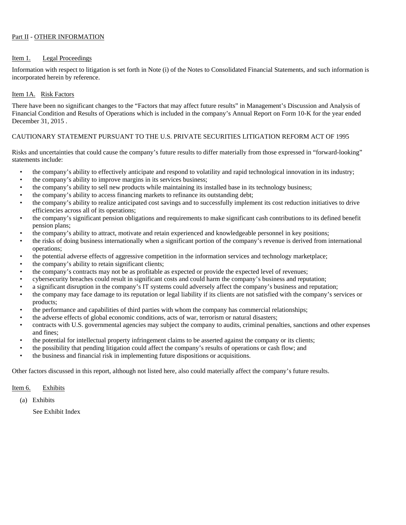#### Part II - OTHER INFORMATION

#### Item 1. Legal Proceedings

Information with respect to litigation is set forth in Note (i) of the Notes to Consolidated Financial Statements, and such information is incorporated herein by reference.

#### Item 1A. Risk Factors

There have been no significant changes to the "Factors that may affect future results" in Management's Discussion and Analysis of Financial Condition and Results of Operations which is included in the company's Annual Report on Form 10-K for the year ended December 31, 2015 .

#### CAUTIONARY STATEMENT PURSUANT TO THE U.S. PRIVATE SECURITIES LITIGATION REFORM ACT OF 1995

Risks and uncertainties that could cause the company's future results to differ materially from those expressed in "forward-looking" statements include:

- the company's ability to effectively anticipate and respond to volatility and rapid technological innovation in its industry;
- the company's ability to improve margins in its services business;
- the company's ability to sell new products while maintaining its installed base in its technology business;
- the company's ability to access financing markets to refinance its outstanding debt;
- the company's ability to realize anticipated cost savings and to successfully implement its cost reduction initiatives to drive efficiencies across all of its operations;
- the company's significant pension obligations and requirements to make significant cash contributions to its defined benefit pension plans;
- the company's ability to attract, motivate and retain experienced and knowledgeable personnel in key positions;
- the risks of doing business internationally when a significant portion of the company's revenue is derived from international operations;
- the potential adverse effects of aggressive competition in the information services and technology marketplace;
- the company's ability to retain significant clients;
- the company's contracts may not be as profitable as expected or provide the expected level of revenues;
- cybersecurity breaches could result in significant costs and could harm the company's business and reputation;
- a significant disruption in the company's IT systems could adversely affect the company's business and reputation;
- the company may face damage to its reputation or legal liability if its clients are not satisfied with the company's services or products;<br>the performance and capabilities of third parties with whom the company has commercial relationships;<br>the adverse effects of global economic conditions, acts of war, terrorism or natural disasters;<br>contracts with
- 
- 
- and fines;
- the potential for intellectual property infringement claims to be asserted against the company or its clients;
- the possibility that pending litigation could affect the company's results of operations or cash flow; and
- the business and financial risk in implementing future dispositions or acquisitions.

Other factors discussed in this report, although not listed here, also could materially affect the company's future results.

#### Item 6. Exhibits

(a) Exhibits

See Exhibit Index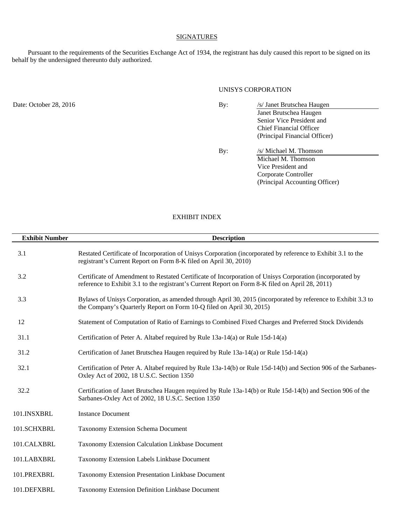#### **SIGNATURES**

Pursuant to the requirements of the Securities Exchange Act of 1934, the registrant has duly caused this report to be signed on its behalf by the undersigned thereunto duly authorized.

#### UNISYS CORPORATION

Date: October 28, 2016 By: /s/ Janet Brutschea Haugen Janet Brutschea Haugen Senior Vice President and Chief Financial Officer (Principal Financial Officer) By: /s/ Michael M. Thomson Michael M. Thomson Vice President and Corporate Controller (Principal Accounting Officer)

#### EXHIBIT INDEX

| <b>Exhibit Number</b><br><b>Description</b> |                                                                                                                                                                                                              |  |  |  |  |  |  |  |
|---------------------------------------------|--------------------------------------------------------------------------------------------------------------------------------------------------------------------------------------------------------------|--|--|--|--|--|--|--|
| 3.1                                         | Restated Certificate of Incorporation of Unisys Corporation (incorporated by reference to Exhibit 3.1 to the<br>registrant's Current Report on Form 8-K filed on April 30, 2010)                             |  |  |  |  |  |  |  |
| 3.2                                         | Certificate of Amendment to Restated Certificate of Incorporation of Unisys Corporation (incorporated by<br>reference to Exhibit 3.1 to the registrant's Current Report on Form 8-K filed on April 28, 2011) |  |  |  |  |  |  |  |
| 3.3                                         | Bylaws of Unisys Corporation, as amended through April 30, 2015 (incorporated by reference to Exhibit 3.3 to<br>the Company's Quarterly Report on Form 10-Q filed on April 30, 2015)                         |  |  |  |  |  |  |  |
| 12                                          | Statement of Computation of Ratio of Earnings to Combined Fixed Charges and Preferred Stock Dividends                                                                                                        |  |  |  |  |  |  |  |
| 31.1                                        | Certification of Peter A. Altabef required by Rule 13a-14(a) or Rule 15d-14(a)                                                                                                                               |  |  |  |  |  |  |  |
| 31.2                                        | Certification of Janet Brutschea Haugen required by Rule 13a-14(a) or Rule 15d-14(a)                                                                                                                         |  |  |  |  |  |  |  |
| 32.1                                        | Certification of Peter A. Altabef required by Rule 13a-14(b) or Rule 15d-14(b) and Section 906 of the Sarbanes-<br>Oxley Act of 2002, 18 U.S.C. Section 1350                                                 |  |  |  |  |  |  |  |
| 32.2                                        | Certification of Janet Brutschea Haugen required by Rule 13a-14(b) or Rule 15d-14(b) and Section 906 of the<br>Sarbanes-Oxley Act of 2002, 18 U.S.C. Section 1350                                            |  |  |  |  |  |  |  |
| 101.INSXBRL                                 | <b>Instance Document</b>                                                                                                                                                                                     |  |  |  |  |  |  |  |
| 101.SCHXBRL                                 | <b>Taxonomy Extension Schema Document</b>                                                                                                                                                                    |  |  |  |  |  |  |  |
| 101.CALXBRL                                 | Taxonomy Extension Calculation Linkbase Document                                                                                                                                                             |  |  |  |  |  |  |  |
| 101.LABXBRL                                 | Taxonomy Extension Labels Linkbase Document                                                                                                                                                                  |  |  |  |  |  |  |  |
| 101.PREXBRL                                 | Taxonomy Extension Presentation Linkbase Document                                                                                                                                                            |  |  |  |  |  |  |  |
| 101.DEFXBRL                                 | Taxonomy Extension Definition Linkbase Document                                                                                                                                                              |  |  |  |  |  |  |  |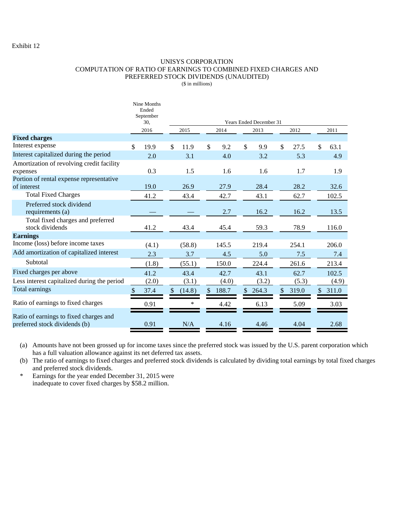#### Exhibit 12

#### UNISYS CORPORATION COMPUTATION OF RATIO OF EARNINGS TO COMBINED FIXED CHARGES AND PREFERRED STOCK DIVIDENDS (UNAUDITED)

(\$ in millions)

|                                                                         |               | Nine Months<br>Ended<br>September<br>30,<br>2016 |               | Years Ended December 31<br>2015<br>2014<br>2012<br>2011<br>2013 |              |       |              |       |              |       |    |       |  |
|-------------------------------------------------------------------------|---------------|--------------------------------------------------|---------------|-----------------------------------------------------------------|--------------|-------|--------------|-------|--------------|-------|----|-------|--|
| <b>Fixed charges</b>                                                    |               |                                                  |               |                                                                 |              |       |              |       |              |       |    |       |  |
| Interest expense                                                        |               | 19.9                                             | \$            | 11.9                                                            | $\mathbb{S}$ | 9.2   | $\mathbb{S}$ | 9.9   | $\mathbb{S}$ | 27.5  | \$ | 63.1  |  |
| Interest capitalized during the period                                  |               | 2.0                                              |               | 3.1                                                             |              | 4.0   |              | 3.2   |              | 5.3   |    | 4.9   |  |
| Amortization of revolving credit facility<br>expenses                   |               | 0.3                                              |               | 1.5                                                             |              | 1.6   |              | 1.6   |              | 1.7   |    | 1.9   |  |
| Portion of rental expense representative<br>of interest                 |               | 19.0                                             |               | 26.9                                                            |              | 27.9  |              | 28.4  |              | 28.2  |    | 32.6  |  |
| <b>Total Fixed Charges</b>                                              |               | 41.2                                             |               | 43.4                                                            |              | 42.7  |              | 43.1  |              | 62.7  |    | 102.5 |  |
| Preferred stock dividend<br>requirements (a)                            |               |                                                  |               |                                                                 |              | 2.7   |              | 16.2  |              | 16.2  |    | 13.5  |  |
| Total fixed charges and preferred<br>stock dividends                    |               | 41.2                                             |               | 43.4                                                            |              | 45.4  |              | 59.3  |              | 78.9  |    | 116.0 |  |
| <b>Earnings</b>                                                         |               |                                                  |               |                                                                 |              |       |              |       |              |       |    |       |  |
| Income (loss) before income taxes                                       |               | (4.1)                                            |               | (58.8)                                                          |              | 145.5 |              | 219.4 |              | 254.1 |    | 206.0 |  |
| Add amortization of capitalized interest                                |               | 2.3                                              |               | 3.7                                                             |              | 4.5   |              | 5.0   |              | 7.5   |    | 7.4   |  |
| Subtotal                                                                |               | (1.8)                                            |               | (55.1)                                                          |              | 150.0 |              | 224.4 |              | 261.6 |    | 213.4 |  |
| Fixed charges per above                                                 |               | 41.2                                             |               | 43.4                                                            |              | 42.7  |              | 43.1  |              | 62.7  |    | 102.5 |  |
| Less interest capitalized during the period                             |               | (2.0)                                            |               | (3.1)                                                           |              | (4.0) |              | (3.2) |              | (5.3) |    | (4.9) |  |
| Total earnings                                                          | $\mathcal{S}$ | 37.4                                             | $\mathcal{S}$ | (14.8)                                                          | \$           | 188.7 | \$.          | 264.3 | \$           | 319.0 | \$ | 311.0 |  |
| Ratio of earnings to fixed charges                                      |               | 0.91                                             |               | *                                                               |              | 4.42  |              | 6.13  |              | 5.09  |    | 3.03  |  |
| Ratio of earnings to fixed charges and<br>preferred stock dividends (b) |               | 0.91                                             |               | N/A                                                             |              | 4.16  |              | 4.46  |              | 4.04  |    | 2.68  |  |

(a) Amounts have not been grossed up for income taxes since the preferred stock was issued by the U.S. parent corporation which has a full valuation allowance against its net deferred tax assets.

(b) The ratio of earnings to fixed charges and preferred stock dividends is calculated by dividing total earnings by total fixed charges and preferred stock dividends.

\* Earnings for the year ended December 31, 2015 were inadequate to cover fixed charges by \$58.2 million.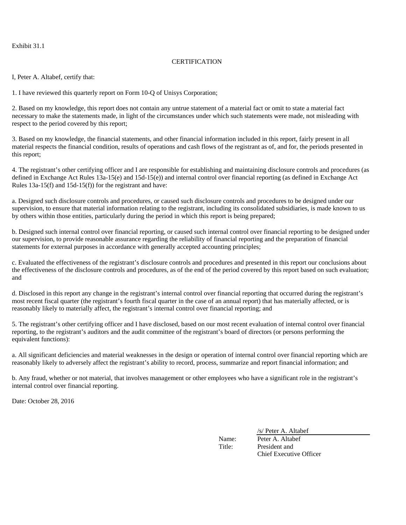Exhibit 31.1

#### **CERTIFICATION**

I, Peter A. Altabef, certify that:

1. I have reviewed this quarterly report on Form 10-Q of Unisys Corporation;

2. Based on my knowledge, this report does not contain any untrue statement of a material fact or omit to state a material fact necessary to make the statements made, in light of the circumstances under which such statements were made, not misleading with respect to the period covered by this report;

3. Based on my knowledge, the financial statements, and other financial information included in this report, fairly present in all material respects the financial condition, results of operations and cash flows of the registrant as of, and for, the periods presented in this report;

4. The registrant's other certifying officer and I are responsible for establishing and maintaining disclosure controls and procedures (as defined in Exchange Act Rules 13a-15(e) and 15d-15(e)) and internal control over financial reporting (as defined in Exchange Act Rules 13a-15(f) and 15d-15(f)) for the registrant and have:

a. Designed such disclosure controls and procedures, or caused such disclosure controls and procedures to be designed under our supervision, to ensure that material information relating to the registrant, including its consolidated subsidiaries, is made known to us by others within those entities, particularly during the period in which this report is being prepared;

b. Designed such internal control over financial reporting, or caused such internal control over financial reporting to be designed under our supervision, to provide reasonable assurance regarding the reliability of financial reporting and the preparation of financial statements for external purposes in accordance with generally accepted accounting principles;

c. Evaluated the effectiveness of the registrant's disclosure controls and procedures and presented in this report our conclusions about the effectiveness of the disclosure controls and procedures, as of the end of the period covered by this report based on such evaluation; and

d. Disclosed in this report any change in the registrant's internal control over financial reporting that occurred during the registrant's most recent fiscal quarter (the registrant's fourth fiscal quarter in the case of an annual report) that has materially affected, or is reasonably likely to materially affect, the registrant's internal control over financial reporting; and

5. The registrant's other certifying officer and I have disclosed, based on our most recent evaluation of internal control over financial reporting, to the registrant's auditors and the audit committee of the registrant's board of directors (or persons performing the equivalent functions):

a. All significant deficiencies and material weaknesses in the design or operation of internal control over financial reporting which are reasonably likely to adversely affect the registrant's ability to record, process, summarize and report financial information; and

b. Any fraud, whether or not material, that involves management or other employees who have a significant role in the registrant's internal control over financial reporting.

Date: October 28, 2016

/s/ Peter A. Altabef

Name: Peter A. Altabef Title: President and Chief Executive Officer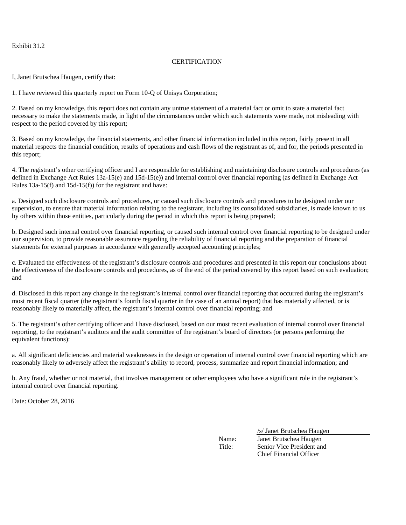Exhibit 31.2

#### **CERTIFICATION**

I, Janet Brutschea Haugen, certify that:

1. I have reviewed this quarterly report on Form 10-Q of Unisys Corporation;

2. Based on my knowledge, this report does not contain any untrue statement of a material fact or omit to state a material fact necessary to make the statements made, in light of the circumstances under which such statements were made, not misleading with respect to the period covered by this report;

3. Based on my knowledge, the financial statements, and other financial information included in this report, fairly present in all material respects the financial condition, results of operations and cash flows of the registrant as of, and for, the periods presented in this report;

4. The registrant's other certifying officer and I are responsible for establishing and maintaining disclosure controls and procedures (as defined in Exchange Act Rules 13a-15(e) and 15d-15(e)) and internal control over financial reporting (as defined in Exchange Act Rules 13a-15(f) and 15d-15(f)) for the registrant and have:

a. Designed such disclosure controls and procedures, or caused such disclosure controls and procedures to be designed under our supervision, to ensure that material information relating to the registrant, including its consolidated subsidiaries, is made known to us by others within those entities, particularly during the period in which this report is being prepared;

b. Designed such internal control over financial reporting, or caused such internal control over financial reporting to be designed under our supervision, to provide reasonable assurance regarding the reliability of financial reporting and the preparation of financial statements for external purposes in accordance with generally accepted accounting principles;

c. Evaluated the effectiveness of the registrant's disclosure controls and procedures and presented in this report our conclusions about the effectiveness of the disclosure controls and procedures, as of the end of the period covered by this report based on such evaluation; and

d. Disclosed in this report any change in the registrant's internal control over financial reporting that occurred during the registrant's most recent fiscal quarter (the registrant's fourth fiscal quarter in the case of an annual report) that has materially affected, or is reasonably likely to materially affect, the registrant's internal control over financial reporting; and

5. The registrant's other certifying officer and I have disclosed, based on our most recent evaluation of internal control over financial reporting, to the registrant's auditors and the audit committee of the registrant's board of directors (or persons performing the equivalent functions):

a. All significant deficiencies and material weaknesses in the design or operation of internal control over financial reporting which are reasonably likely to adversely affect the registrant's ability to record, process, summarize and report financial information; and

b. Any fraud, whether or not material, that involves management or other employees who have a significant role in the registrant's internal control over financial reporting.

Date: October 28, 2016

/s/ Janet Brutschea Haugen

Name: Janet Brutschea Haugen Title: Senior Vice President and Chief Financial Officer